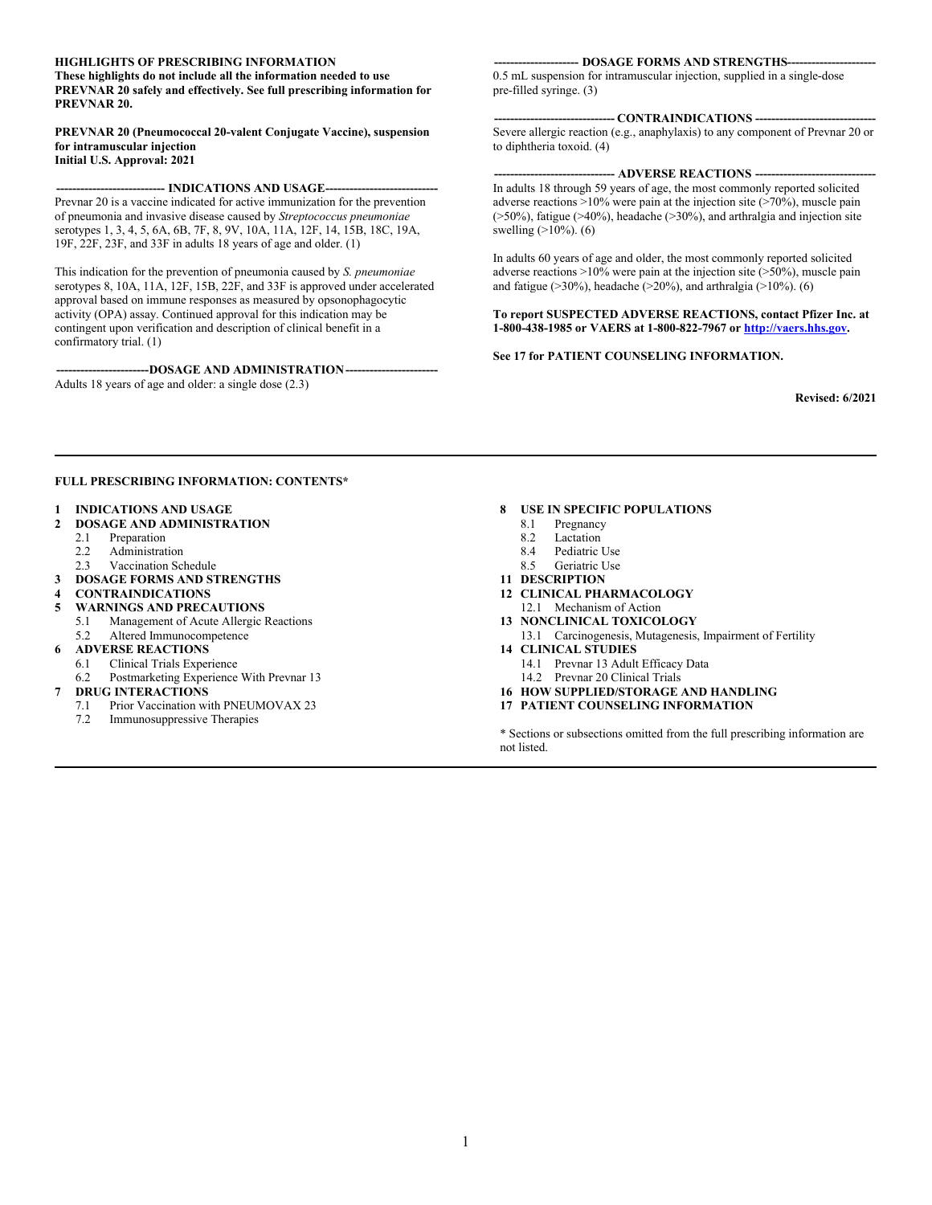#### **HIGHLIGHTS OF PRESCRIBING INFORMATION**

**These highlights do not include all the information needed to use PREVNAR 20 safely and effectively. See full prescribing information for PREVNAR 20.**

**PREVNAR 20 (Pneumococcal 20-valent Conjugate Vaccine), suspension for intramuscular injection Initial U.S. Approval: 2021**

#### --- **INDICATIONS AND USAGE---**

Prevnar 20 is a vaccine indicated for active immunization for the prevention of pneumonia and invasive disease caused by *Streptococcus pneumoniae* serotypes 1, 3, 4, 5, 6A, 6B, 7F, 8, 9V, 10A, 11A, 12F, 14, 15B, 18C, 19A, 19F, 22F, 23F, and 33F in adults 18 years of age and older. (1)

This indication for the prevention of pneumonia caused by *S. pneumoniae* serotypes 8, 10A, 11A, 12F, 15B, 22F, and 33F is approved under accelerated approval based on immune responses as measured by opsonophagocytic activity (OPA) assay. Continued approval for this indication may be contingent upon verification and description of clinical benefit in a confirmatory trial. (1)

---DOSAGE AND ADMINISTRATION----Adults 18 years of age and older: a single dose (2.3)

#### **--- DOSAGE FORMS AND STRENGTHS---**

0.5 mL suspension for intramuscular injection, supplied in a single-dose pre-filled syringe. (3)

**------------------------------ CONTRAINDICATIONS ------------------------------** Severe allergic reaction (e.g., anaphylaxis) to any component of Prevnar 20 or to diphtheria toxoid. (4)

#### **-- ADVERSE REACTIONS --**

In adults 18 through 59 years of age, the most commonly reported solicited adverse reactions  $>10\%$  were pain at the injection site ( $>70\%$ ), muscle pain (>50%), fatigue (>40%), headache (>30%), and arthralgia and injection site swelling (>10%). (6)

In adults 60 years of age and older, the most commonly reported solicited adverse reactions  $>10\%$  were pain at the injection site ( $>50\%$ ), muscle pain and fatigue ( $>30\%$ ), headache ( $>20\%$ ), and arthralgia ( $>10\%$ ). (6)

**To report SUSPECTED ADVERSE REACTIONS, contact Pfizer Inc. at 1-800-438-1985 or VAERS at 1-800-822-7967 or [http://vaers.hhs.gov](http://vaers.hhs.gov/).**

#### **See 17 for PATIENT COUNSELING INFORMATION.**

**Revised: 6/2021**

#### **FULL PRESCRIBING INFORMATION: CONTENTS\***

- **1 INDICATIONS AND USAGE**
- **2 DOSAGE AND ADMINISTRATION**
	- 2.1 Preparation<br>2.2 Administrat
	- **Administration**
	- 2.3 Vaccination Schedule
- **3 DOSAGE FORMS AND STRENGTHS**
- **4 CONTRAINDICATIONS**
- **5 WARNINGS AND PRECAUTIONS** 5.1 Management of Acute Allergic Reactions
- 5.2 Altered Immunocompetence **6 ADVERSE REACTIONS**
- 6.1 Clinical Trials Experience
- 6.2 Postmarketing Experience With Prevnar 13
- **7 DRUG INTERACTIONS**
	- 7.1 Prior Vaccination with PNEUMOVAX 23<br>7.2 Immunosuppressive Therapies
	- Immunosuppressive Therapies

#### **8 USE IN SPECIFIC POPULATIONS**

- 8.1 Pregnancy
- 8.2 Lactation
- 8.4 Pediatric Use
- 8.5 Geriatric Use
- **11 DESCRIPTION**
- **12 CLINICAL PHARMACOLOGY**
- 12.1 Mechanism of Action **13 NONCLINICAL TOXICOLOGY**
- 13.1 Carcinogenesis, Mutagenesis, Impairment of Fertility **14 CLINICAL STUDIES**
	- 14.1 Prevnar 13 Adult Efficacy Data 14.2 Prevnar 20 Clinical Trials
- **16 HOW SUPPLIED/STORAGE AND HANDLING**
- **17 PATIENT COUNSELING INFORMATION**

\* Sections or subsections omitted from the full prescribing information are not listed.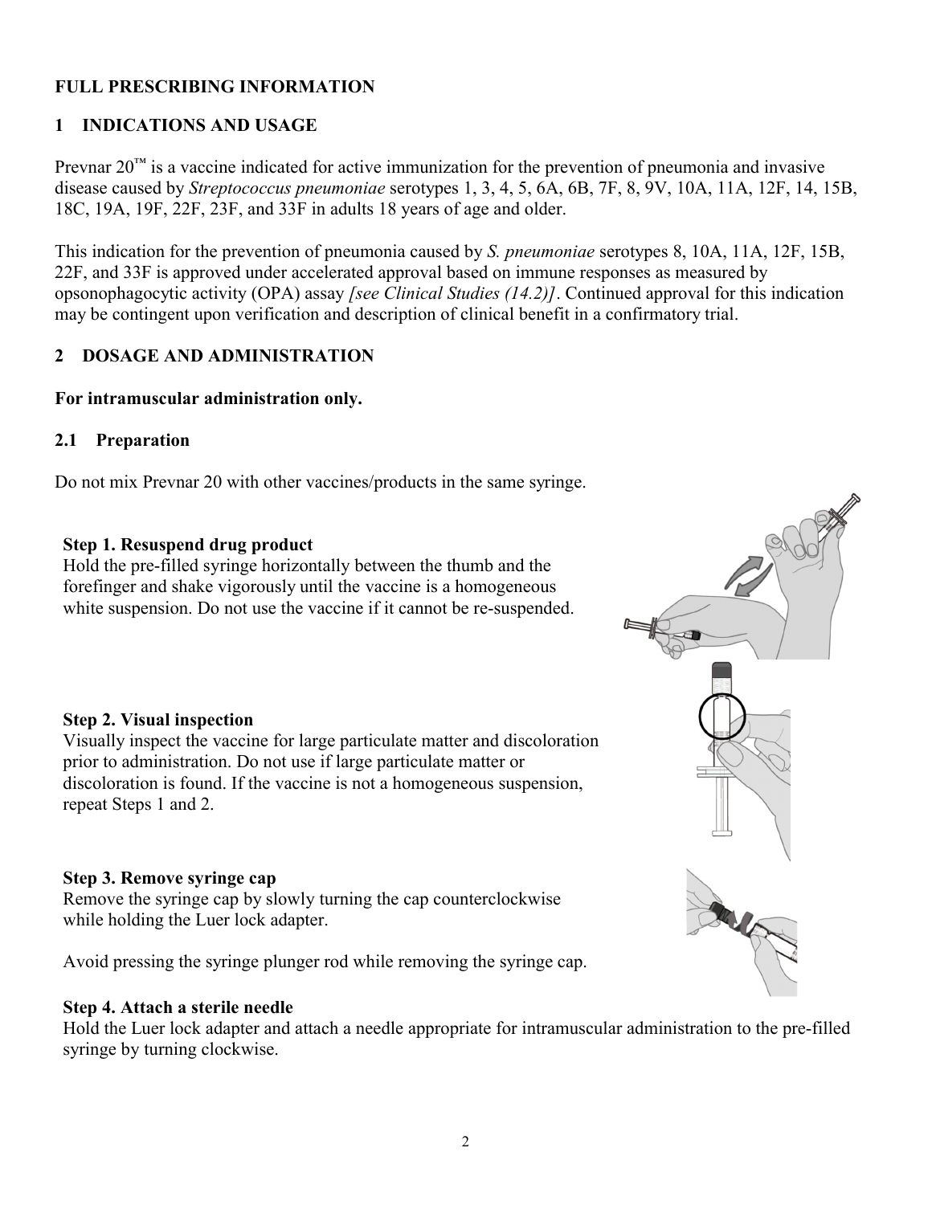### **FULL PRESCRIBING INFORMATION**

### **1 INDICATIONS AND USAGE**

Prevnar  $20<sup>TM</sup>$  is a vaccine indicated for active immunization for the prevention of pneumonia and invasive disease caused by *Streptococcus pneumoniae* serotypes 1, 3, 4, 5, 6A, 6B, 7F, 8, 9V, 10A, 11A, 12F, 14, 15B, 18C, 19A, 19F, 22F, 23F, and 33F in adults 18 years of age and older.

This indication for the prevention of pneumonia caused by *S. pneumoniae* serotypes 8, 10A, 11A, 12F, 15B, 22F, and 33F is approved under accelerated approval based on immune responses as measured by opsonophagocytic activity (OPA) assay *[see Clinical Studies (14.2)]*. Continued approval for this indication may be contingent upon verification and description of clinical benefit in a confirmatory trial.

### **2 DOSAGE AND ADMINISTRATION**

### **For intramuscular administration only.**

### **2.1 Preparation**

Do not mix Prevnar 20 with other vaccines/products in the same syringe.

### **Step 1. Resuspend drug product**

Hold the pre-filled syringe horizontally between the thumb and the forefinger and shake vigorously until the vaccine is a homogeneous white suspension. Do not use the vaccine if it cannot be re-suspended.

### **Step 2. Visual inspection**

Visually inspect the vaccine for large particulate matter and discoloration prior to administration. Do not use if large particulate matter or discoloration is found. If the vaccine is not a homogeneous suspension, repeat Steps 1 and 2.

#### **Step 3. Remove syringe cap**

Remove the syringe cap by slowly turning the cap counterclockwise while holding the Luer lock adapter.

Avoid pressing the syringe plunger rod while removing the syringe cap.

#### **Step 4. Attach a sterile needle**

Hold the Luer lock adapter and attach a needle appropriate for intramuscular administration to the pre-filled syringe by turning clockwise.

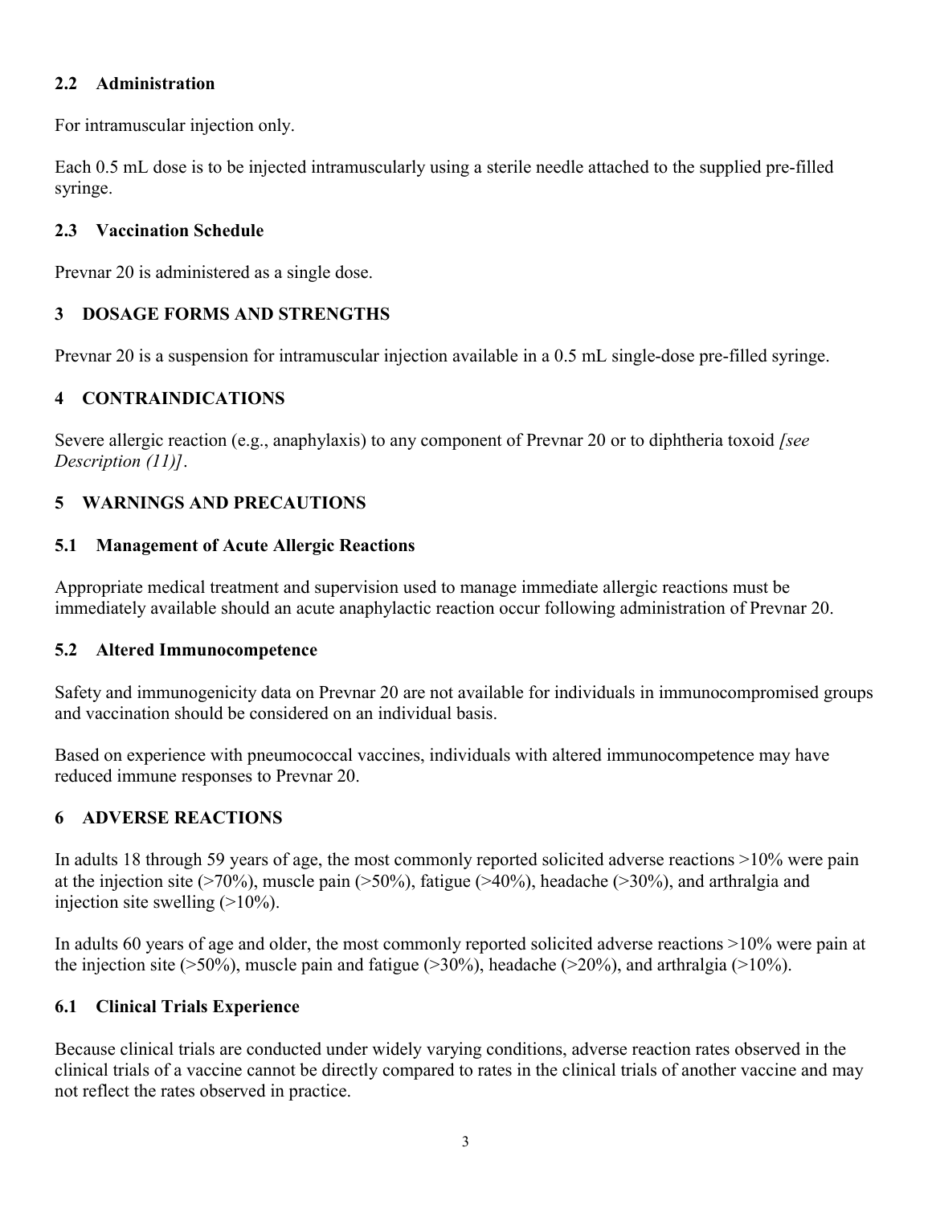### **2.2 Administration**

For intramuscular injection only.

Each 0.5 mL dose is to be injected intramuscularly using a sterile needle attached to the supplied pre-filled syringe.

## **2.3 Vaccination Schedule**

Prevnar 20 is administered as a single dose.

## **3 DOSAGE FORMS AND STRENGTHS**

Prevnar 20 is a suspension for intramuscular injection available in a 0.5 mL single-dose pre-filled syringe.

## **4 CONTRAINDICATIONS**

Severe allergic reaction (e.g., anaphylaxis) to any component of Prevnar 20 or to diphtheria toxoid *[see Description (11)]*.

## **5 WARNINGS AND PRECAUTIONS**

### **5.1 Management of Acute Allergic Reactions**

Appropriate medical treatment and supervision used to manage immediate allergic reactions must be immediately available should an acute anaphylactic reaction occur following administration of Prevnar 20.

### **5.2 Altered Immunocompetence**

Safety and immunogenicity data on Prevnar 20 are not available for individuals in immunocompromised groups and vaccination should be considered on an individual basis.

Based on experience with pneumococcal vaccines, individuals with altered immunocompetence may have reduced immune responses to Prevnar 20.

## **6 ADVERSE REACTIONS**

In adults 18 through 59 years of age, the most commonly reported solicited adverse reactions >10% were pain at the injection site ( $>70\%$ ), muscle pain ( $>50\%$ ), fatigue ( $>40\%$ ), headache ( $>30\%$ ), and arthralgia and injection site swelling  $(>10\%)$ .

In adults 60 years of age and older, the most commonly reported solicited adverse reactions >10% were pain at the injection site ( $>50\%$ ), muscle pain and fatigue ( $>30\%$ ), headache ( $>20\%$ ), and arthralgia ( $>10\%$ ).

## **6.1 Clinical Trials Experience**

Because clinical trials are conducted under widely varying conditions, adverse reaction rates observed in the clinical trials of a vaccine cannot be directly compared to rates in the clinical trials of another vaccine and may not reflect the rates observed in practice.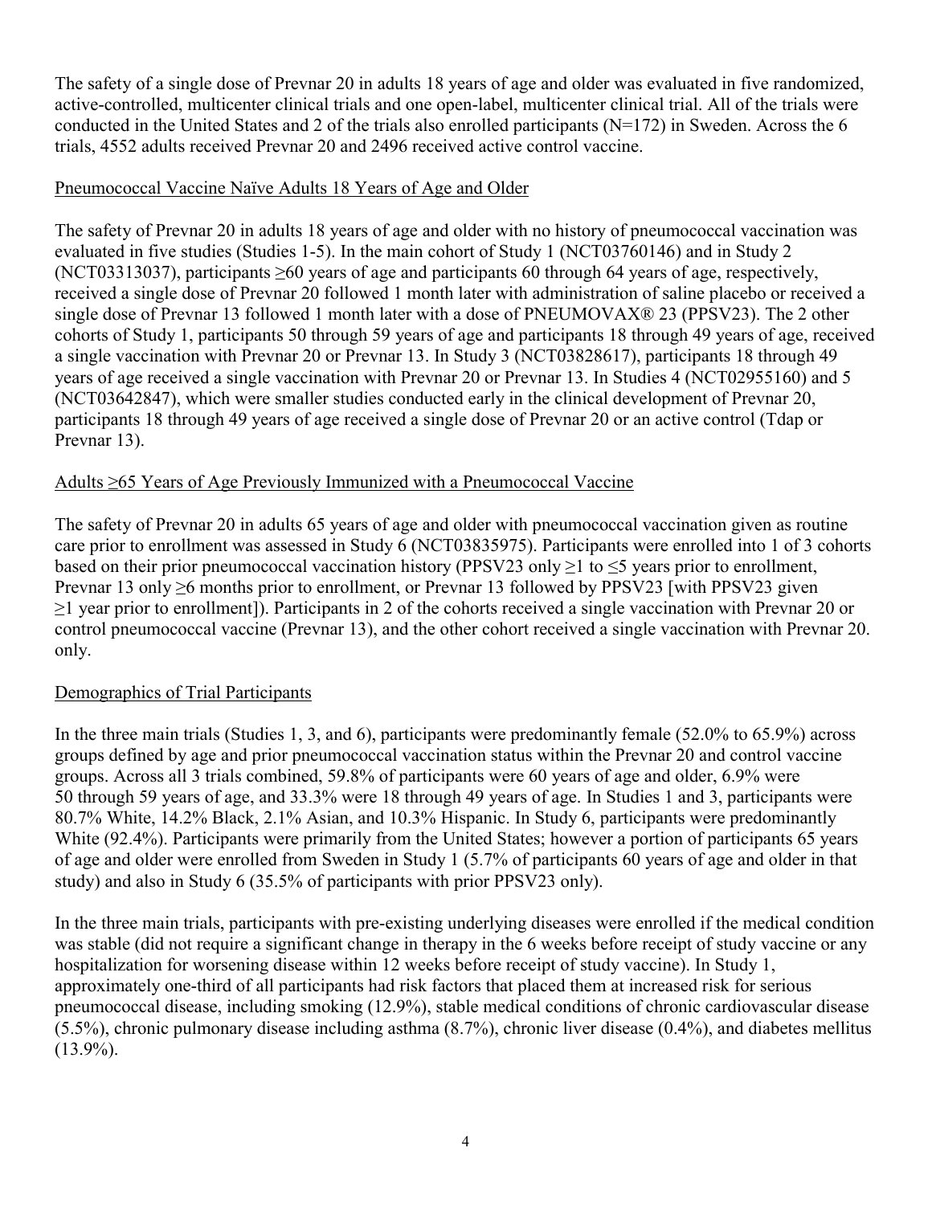The safety of a single dose of Prevnar 20 in adults 18 years of age and older was evaluated in five randomized, active-controlled, multicenter clinical trials and one open-label, multicenter clinical trial. All of the trials were conducted in the United States and 2 of the trials also enrolled participants (N=172) in Sweden. Across the 6 trials, 4552 adults received Prevnar 20 and 2496 received active control vaccine.

### Pneumococcal Vaccine Naïve Adults 18 Years of Age and Older

The safety of Prevnar 20 in adults 18 years of age and older with no history of pneumococcal vaccination was evaluated in five studies (Studies 1-5). In the main cohort of Study 1 (NCT03760146) and in Study 2 (NCT03313037), participants ≥60 years of age and participants 60 through 64 years of age, respectively, received a single dose of Prevnar 20 followed 1 month later with administration of saline placebo or received a single dose of Prevnar 13 followed 1 month later with a dose of PNEUMOVAX® 23 (PPSV23). The 2 other cohorts of Study 1, participants 50 through 59 years of age and participants 18 through 49 years of age, received a single vaccination with Prevnar 20 or Prevnar 13. In Study 3 (NCT03828617), participants 18 through 49 years of age received a single vaccination with Prevnar 20 or Prevnar 13. In Studies 4 (NCT02955160) and 5 (NCT03642847), which were smaller studies conducted early in the clinical development of Prevnar 20, participants 18 through 49 years of age received a single dose of Prevnar 20 or an active control (Tdap or Prevnar 13).

### Adults ≥65 Years of Age Previously Immunized with a Pneumococcal Vaccine

The safety of Prevnar 20 in adults 65 years of age and older with pneumococcal vaccination given as routine care prior to enrollment was assessed in Study 6 (NCT03835975). Participants were enrolled into 1 of 3 cohorts based on their prior pneumococcal vaccination history (PPSV23 only  $\geq 1$  to  $\leq 5$  years prior to enrollment, Prevnar 13 only ≥6 months prior to enrollment, or Prevnar 13 followed by PPSV23 [with PPSV23 given ≥1 year prior to enrollment]). Participants in 2 of the cohorts received a single vaccination with Prevnar 20 or control pneumococcal vaccine (Prevnar 13), and the other cohort received a single vaccination with Prevnar 20. only.

### Demographics of Trial Participants

In the three main trials (Studies 1, 3, and 6), participants were predominantly female (52.0% to 65.9%) across groups defined by age and prior pneumococcal vaccination status within the Prevnar 20 and control vaccine groups. Across all 3 trials combined, 59.8% of participants were 60 years of age and older, 6.9% were 50 through 59 years of age, and 33.3% were 18 through 49 years of age. In Studies 1 and 3, participants were 80.7% White, 14.2% Black, 2.1% Asian, and 10.3% Hispanic. In Study 6, participants were predominantly White (92.4%). Participants were primarily from the United States; however a portion of participants 65 years of age and older were enrolled from Sweden in Study 1 (5.7% of participants 60 years of age and older in that study) and also in Study 6 (35.5% of participants with prior PPSV23 only).

In the three main trials, participants with pre-existing underlying diseases were enrolled if the medical condition was stable (did not require a significant change in therapy in the 6 weeks before receipt of study vaccine or any hospitalization for worsening disease within 12 weeks before receipt of study vaccine). In Study 1, approximately one-third of all participants had risk factors that placed them at increased risk for serious pneumococcal disease, including smoking (12.9%), stable medical conditions of chronic cardiovascular disease (5.5%), chronic pulmonary disease including asthma (8.7%), chronic liver disease (0.4%), and diabetes mellitus  $(13.9\%)$ .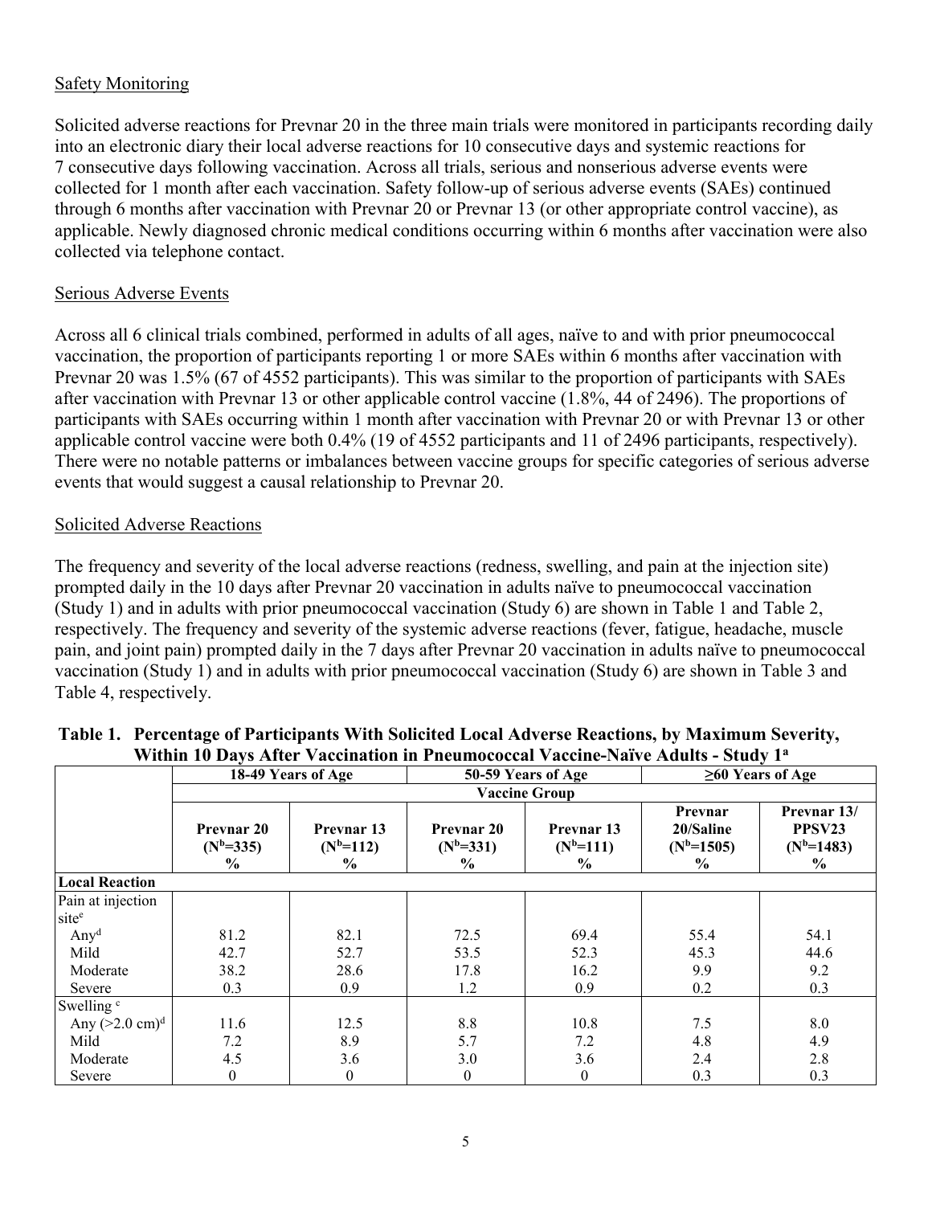### Safety Monitoring

Solicited adverse reactions for Prevnar 20 in the three main trials were monitored in participants recording daily into an electronic diary their local adverse reactions for 10 consecutive days and systemic reactions for 7 consecutive days following vaccination. Across all trials, serious and nonserious adverse events were collected for 1 month after each vaccination. Safety follow-up of serious adverse events (SAEs) continued through 6 months after vaccination with Prevnar 20 or Prevnar 13 (or other appropriate control vaccine), as applicable. Newly diagnosed chronic medical conditions occurring within 6 months after vaccination were also collected via telephone contact.

### Serious Adverse Events

Across all 6 clinical trials combined, performed in adults of all ages, naïve to and with prior pneumococcal vaccination, the proportion of participants reporting 1 or more SAEs within 6 months after vaccination with Prevnar 20 was 1.5% (67 of 4552 participants). This was similar to the proportion of participants with SAEs after vaccination with Prevnar 13 or other applicable control vaccine (1.8%, 44 of 2496). The proportions of participants with SAEs occurring within 1 month after vaccination with Prevnar 20 or with Prevnar 13 or other applicable control vaccine were both 0.4% (19 of 4552 participants and 11 of 2496 participants, respectively). There were no notable patterns or imbalances between vaccine groups for specific categories of serious adverse events that would suggest a causal relationship to Prevnar 20.

### Solicited Adverse Reactions

The frequency and severity of the local adverse reactions (redness, swelling, and pain at the injection site) prompted daily in the 10 days after Prevnar 20 vaccination in adults naïve to pneumococcal vaccination (Study 1) and in adults with prior pneumococcal vaccination (Study 6) are shown in Table 1 and Table 2, respectively. The frequency and severity of the systemic adverse reactions (fever, fatigue, headache, muscle pain, and joint pain) prompted daily in the 7 days after Prevnar 20 vaccination in adults naïve to pneumococcal vaccination (Study 1) and in adults with prior pneumococcal vaccination (Study 6) are shown in Table 3 and Table 4, respectively.

|                           | 18-49 Years of Age                                |                                     | 50-59 Years of Age                         |                                              | $\geq 60$ Years of Age                                  |                                                          |
|---------------------------|---------------------------------------------------|-------------------------------------|--------------------------------------------|----------------------------------------------|---------------------------------------------------------|----------------------------------------------------------|
|                           |                                                   |                                     |                                            | <b>Vaccine Group</b>                         |                                                         |                                                          |
|                           | <b>Prevnar 20</b><br>$(N^b=335)$<br>$\frac{0}{0}$ | Prevnar 13<br>$(N^{b=112})$<br>$\%$ | Prevnar 20<br>$(N^b=331)$<br>$\frac{0}{0}$ | Prevnar 13<br>$(N^{b=111})$<br>$\frac{0}{0}$ | Prevnar<br>20/Saline<br>$(N^{b=1505})$<br>$\frac{0}{0}$ | Prevnar 13/<br>PPSV23<br>$(N^{b=1483})$<br>$\frac{0}{0}$ |
| <b>Local Reaction</b>     |                                                   |                                     |                                            |                                              |                                                         |                                                          |
| Pain at injection         |                                                   |                                     |                                            |                                              |                                                         |                                                          |
| site <sup>e</sup>         |                                                   |                                     |                                            |                                              |                                                         |                                                          |
| Any <sup>d</sup>          | 81.2                                              | 82.1                                | 72.5                                       | 69.4                                         | 55.4                                                    | 54.1                                                     |
| Mild                      | 42.7                                              | 52.7                                | 53.5                                       | 52.3                                         | 45.3                                                    | 44.6                                                     |
| Moderate                  | 38.2                                              | 28.6                                | 17.8                                       | 16.2                                         | 9.9                                                     | 9.2                                                      |
| Severe                    | 0.3                                               | 0.9                                 | 1.2                                        | 0.9                                          | 0.2                                                     | 0.3                                                      |
| Swelling <sup>c</sup>     |                                                   |                                     |                                            |                                              |                                                         |                                                          |
| Any $(>2.0 \text{ cm})^d$ | 11.6                                              | 12.5                                | 8.8                                        | 10.8                                         | 7.5                                                     | 8.0                                                      |
| Mild                      | 7.2                                               | 8.9                                 | 5.7                                        | 7.2                                          | 4.8                                                     | 4.9                                                      |
| Moderate                  | 4.5                                               | 3.6                                 | 3.0                                        | 3.6                                          | 2.4                                                     | 2.8                                                      |
| Severe                    | $\boldsymbol{0}$                                  | $\mathbf{0}$                        | $\boldsymbol{0}$                           | $\overline{0}$                               | 0.3                                                     | 0.3                                                      |

### **Table 1. Percentage of Participants With Solicited Local Adverse Reactions, by Maximum Severity, Within 10 Days After Vaccination in Pneumococcal Vaccine-Naïve Adults - Study 1<sup>a</sup>**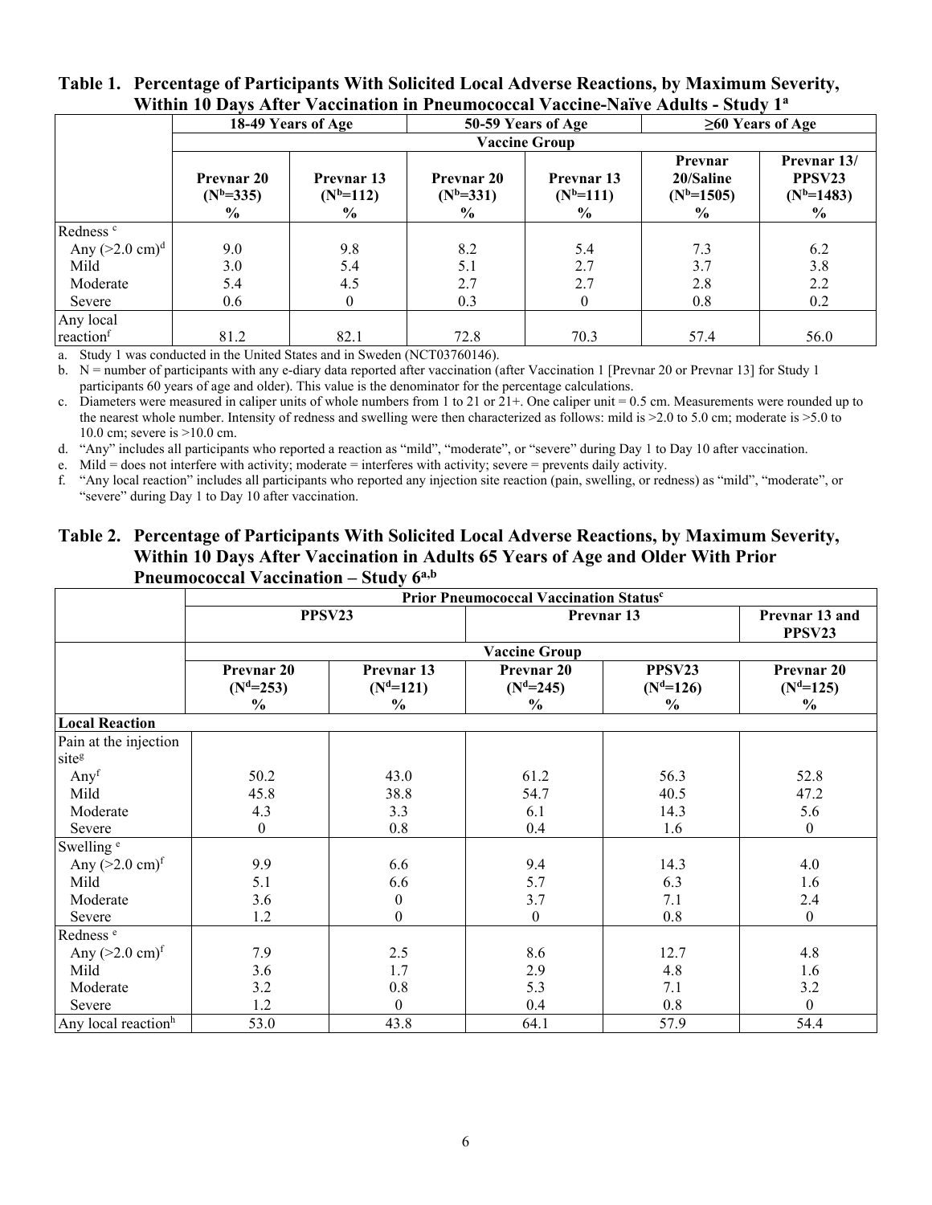|                           |                                                    | 18-49 Years of Age                           |                                            | 50-59 Years of Age                           |                                                         | $\geq 60$ Years of Age                                      |  |
|---------------------------|----------------------------------------------------|----------------------------------------------|--------------------------------------------|----------------------------------------------|---------------------------------------------------------|-------------------------------------------------------------|--|
|                           |                                                    |                                              |                                            | <b>Vaccine Group</b>                         |                                                         |                                                             |  |
|                           | <b>Prevnar 20</b><br>$(N^b=335)$<br>$\frac{6}{10}$ | Prevnar 13<br>$(N^{b=112})$<br>$\frac{0}{0}$ | Prevnar 20<br>$(N^b=331)$<br>$\frac{0}{0}$ | Prevnar 13<br>$(N^{b=111})$<br>$\frac{0}{0}$ | Prevnar<br>20/Saline<br>$(N^{b=1505})$<br>$\frac{0}{0}$ | Prevnar 13/<br>PPSV <sub>23</sub><br>$(N^{b=1483})$<br>$\%$ |  |
| Redness <sup>c</sup>      |                                                    |                                              |                                            |                                              |                                                         |                                                             |  |
| Any $(>2.0 \text{ cm})^d$ | 9.0                                                | 9.8                                          | 8.2                                        | 5.4                                          | 7.3                                                     | 6.2                                                         |  |
| Mild                      | 3.0                                                | 5.4                                          | 5.1                                        | 2.7                                          | 3.7                                                     | 3.8                                                         |  |
| Moderate                  | 5.4                                                | 4.5                                          | 2.7                                        | 2.7                                          | 2.8                                                     | 2.2                                                         |  |
| Severe                    | 0.6                                                |                                              | 0.3                                        | $\overline{0}$                               | 0.8                                                     | 0.2                                                         |  |
| Any local                 |                                                    |                                              |                                            |                                              |                                                         |                                                             |  |
| reaction                  | 81.2                                               | 82.1                                         | 72.8                                       | 70.3                                         | 57.4                                                    | 56.0                                                        |  |

#### **Table 1. Percentage of Participants With Solicited Local Adverse Reactions, by Maximum Severity, Within 10 Days After Vaccination in Pneumococcal Vaccine-Naïve Adults - Study 1<sup>a</sup>**

a. Study 1 was conducted in the United States and in Sweden (NCT03760146).

b. N = number of participants with any e-diary data reported after vaccination (after Vaccination 1 [Prevnar 20 or Prevnar 13] for Study 1 participants 60 years of age and older). This value is the denominator for the percentage calculations.

c. Diameters were measured in caliper units of whole numbers from 1 to 21 or 21+. One caliper unit = 0.5 cm. Measurements were rounded up to the nearest whole number. Intensity of redness and swelling were then characterized as follows: mild is >2.0 to 5.0 cm; moderate is >5.0 to 10.0 cm; severe is >10.0 cm.

d. "Any" includes all participants who reported a reaction as "mild", "moderate", or "severe" during Day 1 to Day 10 after vaccination.

e. Mild = does not interfere with activity; moderate = interferes with activity; severe = prevents daily activity.

f. "Any local reaction" includes all participants who reported any injection site reaction (pain, swelling, or redness) as "mild", "moderate", or "severe" during Day 1 to Day 10 after vaccination.

#### **Table 2. Percentage of Participants With Solicited Local Adverse Reactions, by Maximum Severity, Within 10 Days After Vaccination in Adults 65 Years of Age and Older With Prior Pneumococcal Vaccination – Study 6a,b**

|                                    | Prior Pneumococcal Vaccination Status <sup>c</sup> |                           |                           |                       |                           |  |  |
|------------------------------------|----------------------------------------------------|---------------------------|---------------------------|-----------------------|---------------------------|--|--|
|                                    |                                                    | PPSV23                    |                           | Prevnar 13            |                           |  |  |
|                                    |                                                    |                           | <b>Vaccine Group</b>      |                       |                           |  |  |
|                                    | Prevnar 20<br>$(N^d=253)$                          | Prevnar 13<br>$(N^d=121)$ | Prevnar 20<br>$(N^d=245)$ | PPSV23<br>$(N^d=126)$ | Prevnar 20<br>$(N^d=125)$ |  |  |
|                                    | $\frac{6}{9}$                                      | $\frac{6}{9}$             | $\frac{6}{9}$             | $\%$                  | $\frac{6}{10}$            |  |  |
| <b>Local Reaction</b>              |                                                    |                           |                           |                       |                           |  |  |
| Pain at the injection              |                                                    |                           |                           |                       |                           |  |  |
| siteg                              |                                                    |                           |                           |                       |                           |  |  |
| Any <sup>f</sup>                   | 50.2                                               | 43.0                      | 61.2                      | 56.3                  | 52.8                      |  |  |
| Mild                               | 45.8                                               | 38.8                      | 54.7                      | 40.5                  | 47.2                      |  |  |
| Moderate                           | 4.3                                                | 3.3                       | 6.1                       | 14.3                  | 5.6                       |  |  |
| Severe                             | $\theta$                                           | 0.8                       | 0.4                       | 1.6                   | $\mathbf{0}$              |  |  |
| Swelling <sup>e</sup>              |                                                    |                           |                           |                       |                           |  |  |
| Any $(>2.0 \text{ cm})^{\text{f}}$ | 9.9                                                | 6.6                       | 9.4                       | 14.3                  | 4.0                       |  |  |
| Mild                               | 5.1                                                | 6.6                       | 5.7                       | 6.3                   | 1.6                       |  |  |
| Moderate                           | 3.6                                                | $\mathbf{0}$              | 3.7                       | 7.1                   | 2.4                       |  |  |
| Severe                             | 1.2                                                | $\boldsymbol{0}$          | $\boldsymbol{0}$          | 0.8                   | $\boldsymbol{0}$          |  |  |
| Redness <sup>e</sup>               |                                                    |                           |                           |                       |                           |  |  |
| Any $(>2.0 \text{ cm})^{\text{f}}$ | 7.9                                                | 2.5                       | 8.6                       | 12.7                  | 4.8                       |  |  |
| Mild                               | 3.6                                                | 1.7                       | 2.9                       | 4.8                   | 1.6                       |  |  |
| Moderate                           | 3.2                                                | 0.8                       | 5.3                       | 7.1                   | 3.2                       |  |  |
| Severe                             | 1.2                                                | $\theta$                  | 0.4                       | 0.8                   | $\theta$                  |  |  |
| Any local reaction <sup>h</sup>    | 53.0                                               | 43.8                      | 64.1                      | 57.9                  | 54.4                      |  |  |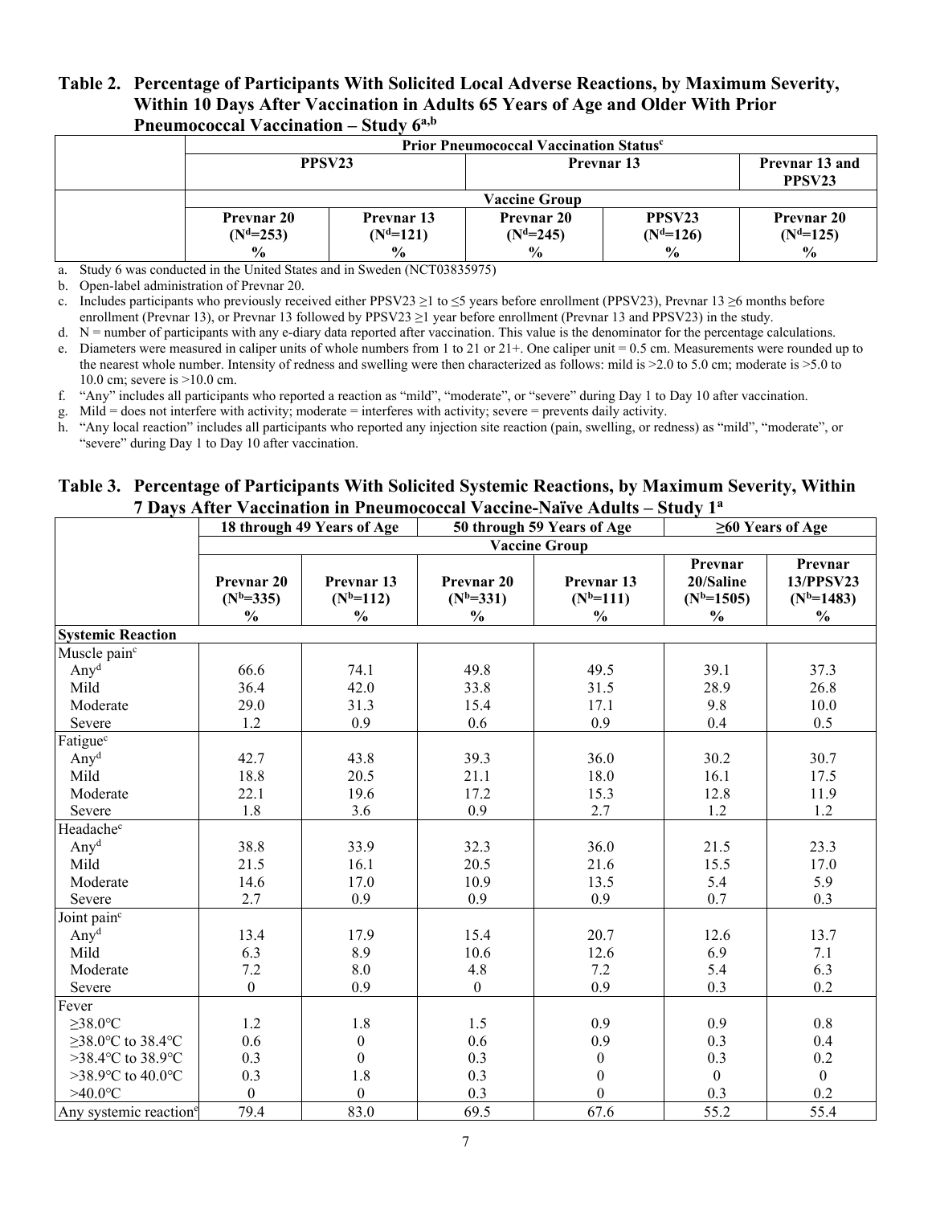### **Table 2. Percentage of Participants With Solicited Local Adverse Reactions, by Maximum Severity, Within 10 Days After Vaccination in Adults 65 Years of Age and Older With Prior Pneumococcal Vaccination – Study 6a,b**

|                                  | <b>Prior Pneumococcal Vaccination Statusce</b> |                                  |                                      |                                  |  |  |  |  |
|----------------------------------|------------------------------------------------|----------------------------------|--------------------------------------|----------------------------------|--|--|--|--|
|                                  | PPSV <sub>23</sub>                             | <b>Prevnar 13</b>                | Prevnar 13 and<br>PPSV <sub>23</sub> |                                  |  |  |  |  |
|                                  |                                                | <b>Vaccine Group</b>             |                                      |                                  |  |  |  |  |
| <b>Prevnar 20</b><br>$(N^d=253)$ | <b>Prevnar 13</b><br>$(N^d=121)$               | <b>Prevnar 20</b><br>$(N^d=245)$ | PPSV <sub>23</sub><br>$(Nd=126)$     | <b>Prevnar 20</b><br>$(N^d=125)$ |  |  |  |  |
| $\frac{0}{0}$                    | $\frac{0}{0}$                                  | $\frac{0}{0}$                    | $\frac{6}{6}$                        | $\frac{0}{0}$                    |  |  |  |  |

a. Study 6 was conducted in the United States and in Sweden (NCT03835975)

b. Open-label administration of Prevnar 20.

c. Includes participants who previously received either PPSV23  $\geq$ 1 to  $\leq$ 5 years before enrollment (PPSV23), Prevnar 13  $\geq$ 6 months before enrollment (Prevnar 13), or Prevnar 13 followed by PPSV23  $\geq$ 1 year before enrollment (Prevnar 13 and PPSV23) in the study.

d.  $N =$  number of participants with any e-diary data reported after vaccination. This value is the denominator for the percentage calculations. e. Diameters were measured in caliper units of whole numbers from 1 to 21 or 21+. One caliper unit = 0.5 cm. Measurements were rounded up to the nearest whole number. Intensity of redness and swelling were then characterized as follows: mild is >2.0 to 5.0 cm; moderate is >5.0 to 10.0 cm; severe is >10.0 cm.

f. "Any" includes all participants who reported a reaction as "mild", "moderate", or "severe" during Day 1 to Day 10 after vaccination.

g. Mild = does not interfere with activity; moderate = interferes with activity; severe = prevents daily activity.

h. "Any local reaction" includes all participants who reported any injection site reaction (pain, swelling, or redness) as "mild", "moderate", or "severe" during Day 1 to Day 10 after vaccination.

#### **Table 3. Percentage of Participants With Solicited Systemic Reactions, by Maximum Severity, Within 7 Days After Vaccination in Pneumococcal Vaccine-Naïve Adults – Study 1<sup>a</sup>**

|                                    |                                            | 18 through 49 Years of Age                   |                                                       | 50 through 59 Years of Age                 | $\geq 60$ Years of Age                                  |                                                         |
|------------------------------------|--------------------------------------------|----------------------------------------------|-------------------------------------------------------|--------------------------------------------|---------------------------------------------------------|---------------------------------------------------------|
|                                    |                                            |                                              |                                                       | <b>Vaccine Group</b>                       |                                                         |                                                         |
|                                    | Prevnar 20<br>$(N^b=335)$<br>$\frac{0}{0}$ | Prevnar 13<br>$(N^{b=112})$<br>$\frac{0}{0}$ | Prevnar <sub>20</sub><br>$(N^b=331)$<br>$\frac{0}{0}$ | Prevnar 13<br>$(N^b=111)$<br>$\frac{0}{0}$ | Prevnar<br>20/Saline<br>$(N^{b=1505})$<br>$\frac{0}{0}$ | Prevnar<br>13/PPSV23<br>$(N^{b=1483})$<br>$\frac{0}{0}$ |
| <b>Systemic Reaction</b>           |                                            |                                              |                                                       |                                            |                                                         |                                                         |
| Muscle pain <sup>c</sup>           |                                            |                                              |                                                       |                                            |                                                         |                                                         |
| Any <sup>d</sup>                   | 66.6                                       | 74.1                                         | 49.8                                                  | 49.5                                       | 39.1                                                    | 37.3                                                    |
| Mild                               | 36.4                                       | 42.0                                         | 33.8                                                  | 31.5                                       | 28.9                                                    | 26.8                                                    |
| Moderate                           | 29.0                                       | 31.3                                         | 15.4                                                  | 17.1                                       | 9.8                                                     | 10.0                                                    |
| Severe                             | 1.2                                        | 0.9                                          | 0.6                                                   | 0.9                                        | 0.4                                                     | 0.5                                                     |
| Fatigue <sup>c</sup>               |                                            |                                              |                                                       |                                            |                                                         |                                                         |
| Any <sup>d</sup>                   | 42.7                                       | 43.8                                         | 39.3                                                  | 36.0                                       | 30.2                                                    | 30.7                                                    |
| Mild                               | 18.8                                       | 20.5                                         | 21.1                                                  | 18.0                                       | 16.1                                                    | 17.5                                                    |
| Moderate                           | 22.1                                       | 19.6                                         | 17.2                                                  | 15.3                                       | 12.8                                                    | 11.9                                                    |
| Severe                             | 1.8                                        | 3.6                                          | 0.9                                                   | 2.7                                        | 1.2                                                     | 1.2                                                     |
| Headachec                          |                                            |                                              |                                                       |                                            |                                                         |                                                         |
| Any <sup>d</sup>                   | 38.8                                       | 33.9                                         | 32.3                                                  | 36.0                                       | 21.5                                                    | 23.3                                                    |
| Mild                               | 21.5                                       | 16.1                                         | 20.5                                                  | 21.6                                       | 15.5                                                    | 17.0                                                    |
| Moderate                           | 14.6                                       | 17.0                                         | 10.9                                                  | 13.5                                       | 5.4                                                     | 5.9                                                     |
| Severe                             | 2.7                                        | 0.9                                          | 0.9                                                   | 0.9                                        | 0.7                                                     | 0.3                                                     |
| Joint pain <sup>c</sup>            |                                            |                                              |                                                       |                                            |                                                         |                                                         |
| Any <sup>d</sup>                   | 13.4                                       | 17.9                                         | 15.4                                                  | 20.7                                       | 12.6                                                    | 13.7                                                    |
| Mild                               | 6.3                                        | 8.9                                          | 10.6                                                  | 12.6                                       | 6.9                                                     | 7.1                                                     |
| Moderate                           | 7.2                                        | 8.0                                          | 4.8                                                   | 7.2                                        | 5.4                                                     | 6.3                                                     |
| Severe                             | $\boldsymbol{0}$                           | 0.9                                          | $\boldsymbol{0}$                                      | 0.9                                        | 0.3                                                     | 0.2                                                     |
| Fever                              |                                            |                                              |                                                       |                                            |                                                         |                                                         |
| $\geq$ 38.0°C                      | 1.2                                        | 1.8                                          | 1.5                                                   | 0.9                                        | 0.9                                                     | 0.8                                                     |
| $\geq$ 38.0°C to 38.4°C            | 0.6                                        | $\boldsymbol{0}$                             | 0.6                                                   | 0.9                                        | 0.3                                                     | 0.4                                                     |
| >38.4°C to 38.9°C                  | 0.3                                        | $\theta$                                     | 0.3                                                   | $\boldsymbol{0}$                           | 0.3                                                     | 0.2                                                     |
| >38.9°C to 40.0°C                  | 0.3                                        | 1.8                                          | 0.3                                                   | $\mathbf{0}$                               | $\mathbf{0}$                                            | $\overline{0}$                                          |
| $>40.0$ °C                         | $\theta$                                   | $\Omega$                                     | 0.3                                                   | $\theta$                                   | 0.3                                                     | 0.2                                                     |
| Any systemic reaction <sup>e</sup> | 79.4                                       | 83.0                                         | 69.5                                                  | 67.6                                       | 55.2                                                    | 55.4                                                    |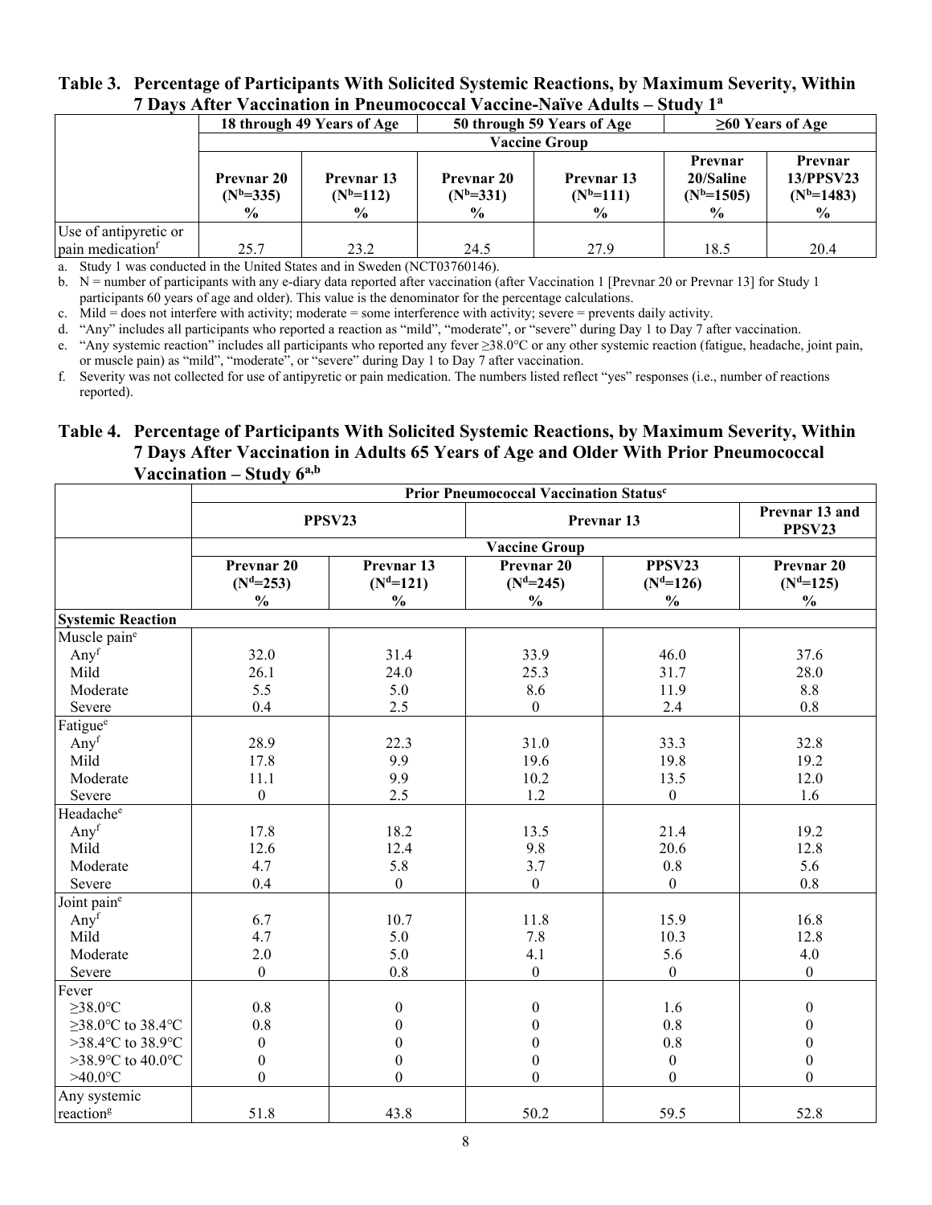#### **Table 3. Percentage of Participants With Solicited Systemic Reactions, by Maximum Severity, Within 7 Days After Vaccination in Pneumococcal Vaccine-Naïve Adults – Study 1<sup>a</sup>**

|                              |                                                   | 18 through 49 Years of Age                          | 50 through 59 Years of Age                        |                                                   | $\geq 60$ Years of Age                                  |                                                |  |  |
|------------------------------|---------------------------------------------------|-----------------------------------------------------|---------------------------------------------------|---------------------------------------------------|---------------------------------------------------------|------------------------------------------------|--|--|
|                              |                                                   |                                                     |                                                   | <b>Vaccine Group</b>                              |                                                         |                                                |  |  |
|                              | <b>Prevnar 20</b><br>$(N^b=335)$<br>$\frac{0}{0}$ | <b>Prevnar</b> 13<br>$(N^{b=112})$<br>$\frac{6}{9}$ | <b>Prevnar 20</b><br>$(N^b=331)$<br>$\frac{6}{9}$ | <b>Prevnar</b> 13<br>$(N^b=111)$<br>$\frac{6}{9}$ | Prevnar<br>20/Saline<br>$(N^{b=1505})$<br>$\frac{6}{6}$ | Prevnar<br>13/PPSV23<br>$(N^{b=1483})$<br>$\%$ |  |  |
| Use of antipyretic or        |                                                   |                                                     |                                                   |                                                   |                                                         |                                                |  |  |
| pain medication <sup>f</sup> | 25.7                                              | 23.2                                                | 24.5                                              | 27.9                                              | 18.5                                                    | 20.4                                           |  |  |

a. Study 1 was conducted in the United States and in Sweden (NCT03760146).

b.  $N =$  number of participants with any e-diary data reported after vaccination (after Vaccination 1 [Prevnar 20 or Prevnar 13] for Study 1 participants 60 years of age and older). This value is the denominator for the percentage calculations.

c. Mild  $\dot{=}$  does not interfere with activity; moderate  $=$  some interference with activity; severe  $=$  prevents daily activity.

d. "Any" includes all participants who reported a reaction as "mild", "moderate", or "severe" during Day 1 to Day 7 after vaccination.

e. "Any systemic reaction" includes all participants who reported any fever ≥38.0°C or any other systemic reaction (fatigue, headache, joint pain, or muscle pain) as "mild", "moderate", or "severe" during Day 1 to Day 7 after vaccination.

f. Severity was not collected for use of antipyretic or pain medication. The numbers listed reflect "yes" responses (i.e., number of reactions reported).

### **Table 4. Percentage of Participants With Solicited Systemic Reactions, by Maximum Severity, Within 7 Days After Vaccination in Adults 65 Years of Age and Older With Prior Pneumococcal Vaccination – Study 6a,b**

|                          | Prior Pneumococcal Vaccination Status <sup>c</sup> |                                            |                                                      |                                       |                                                       |  |
|--------------------------|----------------------------------------------------|--------------------------------------------|------------------------------------------------------|---------------------------------------|-------------------------------------------------------|--|
|                          |                                                    | PPSV23                                     |                                                      | Prevnar 13                            |                                                       |  |
|                          |                                                    |                                            | <b>Vaccine Group</b>                                 |                                       |                                                       |  |
|                          | Prevnar 20<br>$(N^d=253)$<br>$\frac{0}{0}$         | Prevnar 13<br>$(N^d=121)$<br>$\frac{0}{0}$ | Prevnar <sub>20</sub><br>$(Nd=245)$<br>$\frac{0}{0}$ | PPSV23<br>$(Nd=126)$<br>$\frac{0}{0}$ | Prevnar <sub>20</sub><br>$(N^d=125)$<br>$\frac{0}{0}$ |  |
| <b>Systemic Reaction</b> |                                                    |                                            |                                                      |                                       |                                                       |  |
| Muscle paine             |                                                    |                                            |                                                      |                                       |                                                       |  |
| Any <sup>f</sup>         | 32.0                                               | 31.4                                       | 33.9                                                 | 46.0                                  | 37.6                                                  |  |
| Mild                     | 26.1                                               | 24.0                                       | 25.3                                                 | 31.7                                  | 28.0                                                  |  |
| Moderate                 | 5.5                                                | 5.0                                        | 8.6                                                  | 11.9                                  | 8.8                                                   |  |
| Severe                   | 0.4                                                | 2.5                                        | $\boldsymbol{0}$                                     | 2.4                                   | 0.8                                                   |  |
| Fatigue <sup>e</sup>     |                                                    |                                            |                                                      |                                       |                                                       |  |
| Anyf                     | 28.9                                               | 22.3                                       | 31.0                                                 | 33.3                                  | 32.8                                                  |  |
| Mild                     | 17.8                                               | 9.9                                        | 19.6                                                 | 19.8                                  | 19.2                                                  |  |
| Moderate                 | 11.1                                               | 9.9                                        | 10.2                                                 | 13.5                                  | 12.0                                                  |  |
| Severe                   | $\boldsymbol{0}$                                   | 2.5                                        | 1.2                                                  | $\boldsymbol{0}$                      | 1.6                                                   |  |
| Headache <sup>e</sup>    |                                                    |                                            |                                                      |                                       |                                                       |  |
| Any <sup>f</sup>         | 17.8                                               | 18.2                                       | 13.5                                                 | 21.4                                  | 19.2                                                  |  |
| Mild                     | 12.6                                               | 12.4                                       | 9.8                                                  | 20.6                                  | 12.8                                                  |  |
| Moderate                 | 4.7                                                | 5.8                                        | 3.7                                                  | 0.8                                   | 5.6                                                   |  |
| Severe                   | 0.4                                                | $\mathbf{0}$                               | $\overline{0}$                                       | $\overline{0}$                        | 0.8                                                   |  |
| Joint paine              |                                                    |                                            |                                                      |                                       |                                                       |  |
| Anyf                     | 6.7                                                | 10.7                                       | 11.8                                                 | 15.9                                  | 16.8                                                  |  |
| Mild                     | 4.7                                                | 5.0                                        | 7.8                                                  | 10.3                                  | 12.8                                                  |  |
| Moderate                 | $2.0$                                              | 5.0                                        | 4.1                                                  | 5.6                                   | 4.0                                                   |  |
| Severe                   | $\boldsymbol{0}$                                   | 0.8                                        | $\boldsymbol{0}$                                     | $\overline{0}$                        | $\overline{0}$                                        |  |
| Fever                    |                                                    |                                            |                                                      |                                       |                                                       |  |
| $\geq$ 38.0°C            | 0.8                                                | $\boldsymbol{0}$                           | $\boldsymbol{0}$                                     | 1.6                                   | $\boldsymbol{0}$                                      |  |
| $\geq$ 38.0°C to 38.4°C  | 0.8                                                | $\theta$                                   | $\Omega$                                             | $0.8\,$                               | $\mathbf{0}$                                          |  |
| >38.4°C to 38.9°C        | $\mathbf{0}$                                       | $\theta$                                   | $\theta$                                             | 0.8                                   | $\boldsymbol{0}$                                      |  |
| >38.9°C to 40.0°C        | $\boldsymbol{0}$                                   | $\mathbf{0}$                               | $\boldsymbol{0}$                                     | $\boldsymbol{0}$                      | $\boldsymbol{0}$                                      |  |
| $>40.0$ °C               | $\overline{0}$                                     | $\theta$                                   | $\theta$                                             | $\boldsymbol{0}$                      | $\overline{0}$                                        |  |
| Any systemic             |                                                    |                                            |                                                      |                                       |                                                       |  |
| reaction <sup>g</sup>    | 51.8                                               | 43.8                                       | 50.2                                                 | 59.5                                  | 52.8                                                  |  |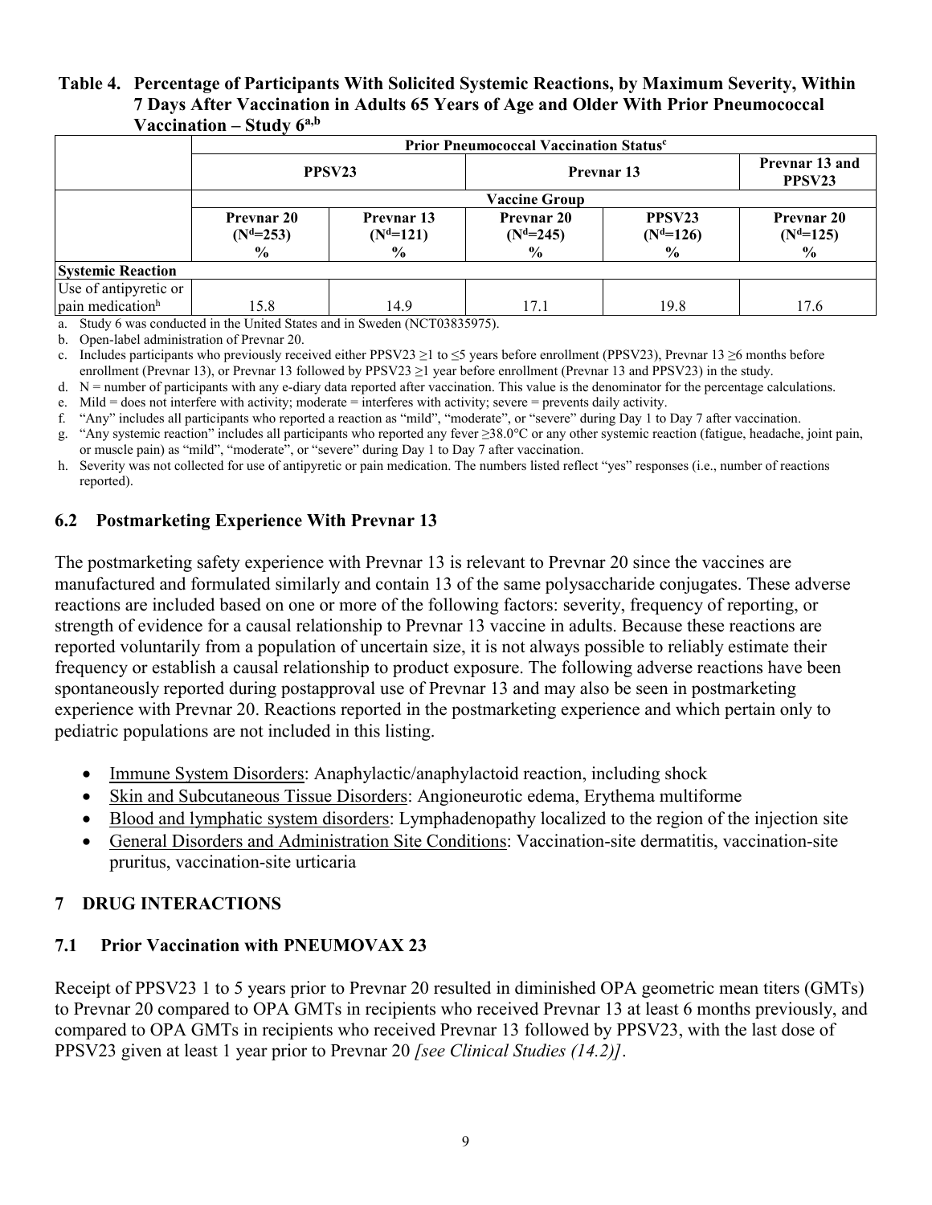#### **Table 4. Percentage of Participants With Solicited Systemic Reactions, by Maximum Severity, Within 7 Days After Vaccination in Adults 65 Years of Age and Older With Prior Pneumococcal Vaccination – Study 6a,b**

|                              | Prior Pneumococcal Vaccination Status <sup>c</sup> |                                            |                                         |                                          |                                          |  |  |  |
|------------------------------|----------------------------------------------------|--------------------------------------------|-----------------------------------------|------------------------------------------|------------------------------------------|--|--|--|
|                              | PPSV <sub>23</sub>                                 |                                            | Prevnar 13                              |                                          | Prevnar 13 and<br>PPSV23                 |  |  |  |
|                              |                                                    |                                            | <b>Vaccine Group</b>                    |                                          |                                          |  |  |  |
|                              | <b>Prevnar 20</b><br>$(N^d=253)$<br>$\frac{6}{9}$  | Prevnar 13<br>$(N^d=121)$<br>$\frac{6}{9}$ | <b>Prevnar 20</b><br>$(Nd=245)$<br>$\%$ | PPSV <sub>23</sub><br>$(Nd=126)$<br>$\%$ | <b>Prevnar 20</b><br>$(N^d=125)$<br>$\%$ |  |  |  |
| <b>Systemic Reaction</b>     |                                                    |                                            |                                         |                                          |                                          |  |  |  |
| Use of antipyretic or        |                                                    |                                            |                                         |                                          |                                          |  |  |  |
| pain medication <sup>h</sup> | 15.8                                               | 14.9                                       | 17.1                                    | 19.8                                     | 17.6                                     |  |  |  |

a. Study 6 was conducted in the United States and in Sweden (NCT03835975).

b. Open-label administration of Prevnar 20.

c. Includes participants who previously received either PPSV23  $\geq 1$  to  $\leq 5$  years before enrollment (PPSV23), Prevnar 13  $\geq 6$  months before enrollment (Prevnar 13), or Prevnar 13 followed by PPSV23 ≥1 year before enrollment (Prevnar 13 and PPSV23) in the study.

d.  $N =$  number of participants with any e-diary data reported after vaccination. This value is the denominator for the percentage calculations.

e. Mild = does not interfere with activity; moderate = interferes with activity; severe = prevents daily activity.

f. "Any" includes all participants who reported a reaction as "mild", "moderate", or "severe" during Day 1 to Day 7 after vaccination.

g. "Any systemic reaction" includes all participants who reported any fever ≥38.0°C or any other systemic reaction (fatigue, headache, joint pain, or muscle pain) as "mild", "moderate", or "severe" during Day 1 to Day 7 after vaccination.

h. Severity was not collected for use of antipyretic or pain medication. The numbers listed reflect "yes" responses (i.e., number of reactions reported).

### **6.2 Postmarketing Experience With Prevnar 13**

The postmarketing safety experience with Prevnar 13 is relevant to Prevnar 20 since the vaccines are manufactured and formulated similarly and contain 13 of the same polysaccharide conjugates. These adverse reactions are included based on one or more of the following factors: severity, frequency of reporting, or strength of evidence for a causal relationship to Prevnar 13 vaccine in adults. Because these reactions are reported voluntarily from a population of uncertain size, it is not always possible to reliably estimate their frequency or establish a causal relationship to product exposure. The following adverse reactions have been spontaneously reported during postapproval use of Prevnar 13 and may also be seen in postmarketing experience with Prevnar 20. Reactions reported in the postmarketing experience and which pertain only to pediatric populations are not included in this listing.

- Immune System Disorders: Anaphylactic/anaphylactoid reaction, including shock
- Skin and Subcutaneous Tissue Disorders: Angioneurotic edema, Erythema multiforme
- Blood and lymphatic system disorders: Lymphadenopathy localized to the region of the injection site
- General Disorders and Administration Site Conditions: Vaccination-site dermatitis, vaccination-site pruritus, vaccination-site urticaria

### **7 DRUG INTERACTIONS**

### **7.1 Prior Vaccination with PNEUMOVAX 23**

Receipt of PPSV23 1 to 5 years prior to Prevnar 20 resulted in diminished OPA geometric mean titers (GMTs) to Prevnar 20 compared to OPA GMTs in recipients who received Prevnar 13 at least 6 months previously, and compared to OPA GMTs in recipients who received Prevnar 13 followed by PPSV23, with the last dose of PPSV23 given at least 1 year prior to Prevnar 20 *[see Clinical Studies (14.2)]*.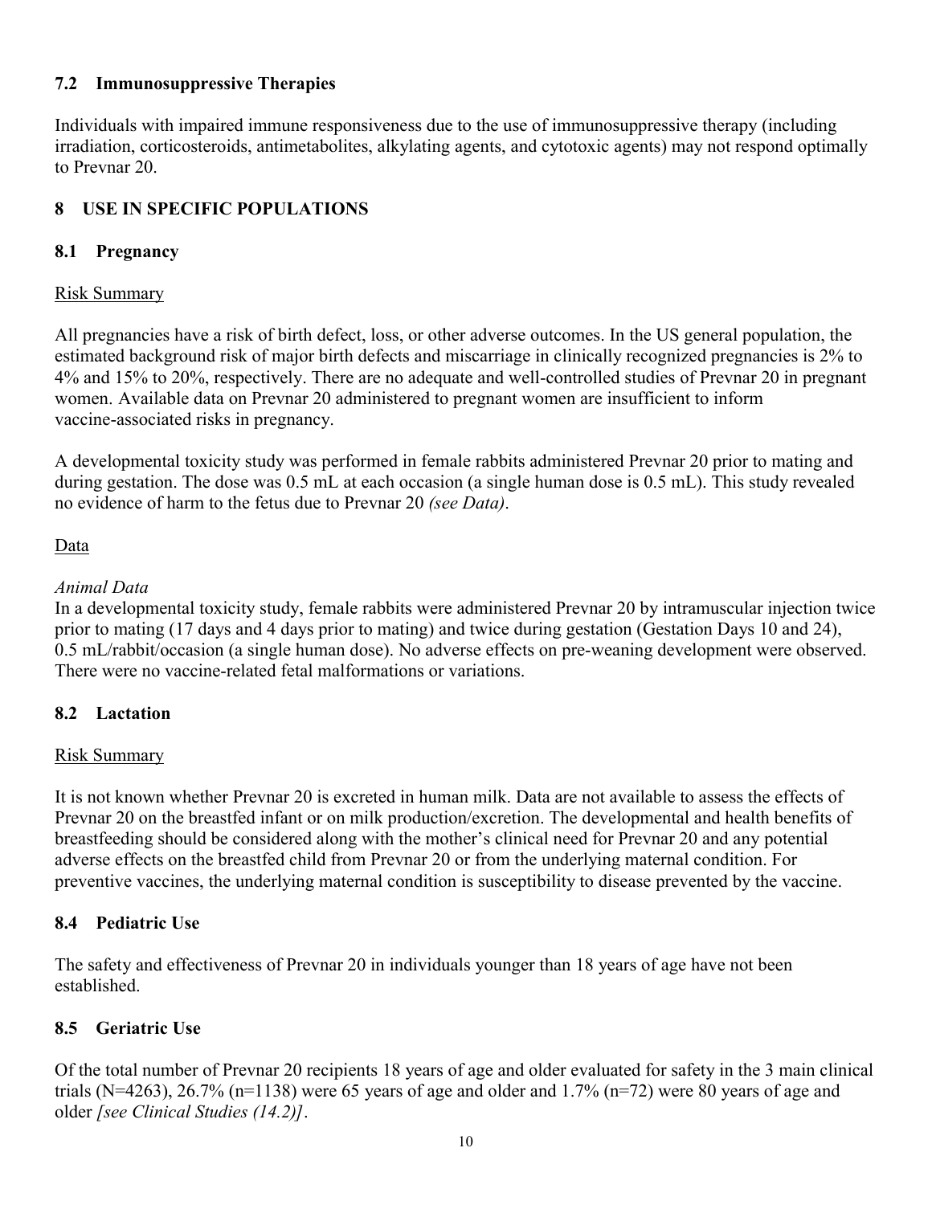### **7.2 Immunosuppressive Therapies**

Individuals with impaired immune responsiveness due to the use of immunosuppressive therapy (including irradiation, corticosteroids, antimetabolites, alkylating agents, and cytotoxic agents) may not respond optimally to Prevnar 20.

## **8 USE IN SPECIFIC POPULATIONS**

### **8.1 Pregnancy**

### Risk Summary

All pregnancies have a risk of birth defect, loss, or other adverse outcomes. In the US general population, the estimated background risk of major birth defects and miscarriage in clinically recognized pregnancies is 2% to 4% and 15% to 20%, respectively. There are no adequate and well-controlled studies of Prevnar 20 in pregnant women. Available data on Prevnar 20 administered to pregnant women are insufficient to inform vaccine-associated risks in pregnancy.

A developmental toxicity study was performed in female rabbits administered Prevnar 20 prior to mating and during gestation. The dose was 0.5 mL at each occasion (a single human dose is 0.5 mL). This study revealed no evidence of harm to the fetus due to Prevnar 20 *(see Data)*.

### Data

### *Animal Data*

In a developmental toxicity study, female rabbits were administered Prevnar 20 by intramuscular injection twice prior to mating (17 days and 4 days prior to mating) and twice during gestation (Gestation Days 10 and 24), 0.5 mL/rabbit/occasion (a single human dose). No adverse effects on pre-weaning development were observed. There were no vaccine-related fetal malformations or variations.

### **8.2 Lactation**

### Risk Summary

It is not known whether Prevnar 20 is excreted in human milk. Data are not available to assess the effects of Prevnar 20 on the breastfed infant or on milk production/excretion. The developmental and health benefits of breastfeeding should be considered along with the mother's clinical need for Prevnar 20 and any potential adverse effects on the breastfed child from Prevnar 20 or from the underlying maternal condition. For preventive vaccines, the underlying maternal condition is susceptibility to disease prevented by the vaccine.

### **8.4 Pediatric Use**

The safety and effectiveness of Prevnar 20 in individuals younger than 18 years of age have not been established.

### **8.5 Geriatric Use**

Of the total number of Prevnar 20 recipients 18 years of age and older evaluated for safety in the 3 main clinical trials (N=4263), 26.7% (n=1138) were 65 years of age and older and 1.7% (n=72) were 80 years of age and older *[see Clinical Studies (14.2)]*.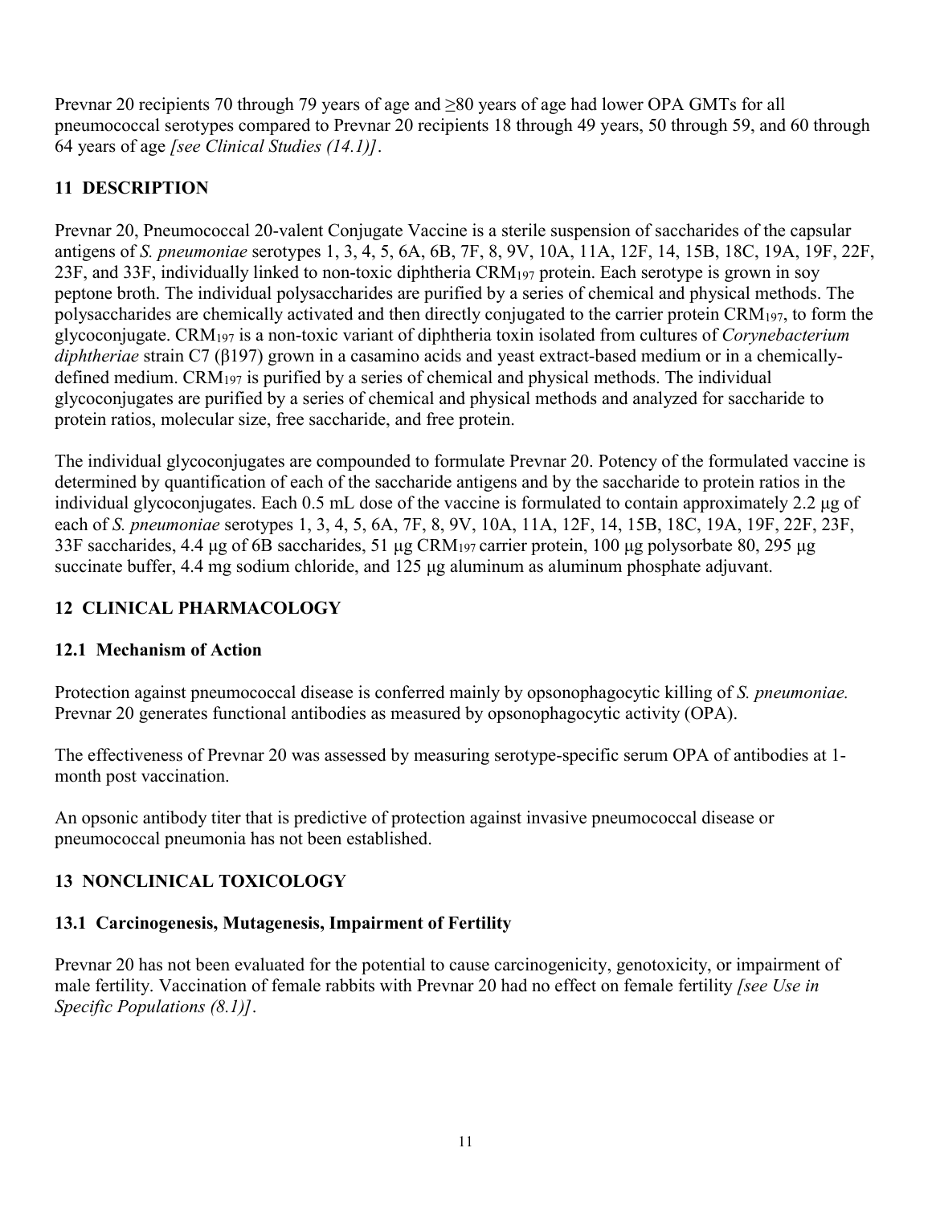Prevnar 20 recipients 70 through 79 years of age and ≥80 years of age had lower OPA GMTs for all pneumococcal serotypes compared to Prevnar 20 recipients 18 through 49 years, 50 through 59, and 60 through 64 years of age *[see Clinical Studies (14.1)]*.

## **11 DESCRIPTION**

Prevnar 20, Pneumococcal 20-valent Conjugate Vaccine is a sterile suspension of saccharides of the capsular antigens of *S. pneumoniae* serotypes 1, 3, 4, 5, 6A, 6B, 7F, 8, 9V, 10A, 11A, 12F, 14, 15B, 18C, 19A, 19F, 22F, 23F, and 33F, individually linked to non-toxic diphtheria CRM<sup>197</sup> protein. Each serotype is grown in soy peptone broth. The individual polysaccharides are purified by a series of chemical and physical methods. The polysaccharides are chemically activated and then directly conjugated to the carrier protein  $\rm{CRM}_{197}$ , to form the glycoconjugate. CRM<sup>197</sup> is a non-toxic variant of diphtheria toxin isolated from cultures of *Corynebacterium diphtheriae* strain C7 (β197) grown in a casamino acids and yeast extract-based medium or in a chemicallydefined medium. CRM<sup>197</sup> is purified by a series of chemical and physical methods. The individual glycoconjugates are purified by a series of chemical and physical methods and analyzed for saccharide to protein ratios, molecular size, free saccharide, and free protein.

The individual glycoconjugates are compounded to formulate Prevnar 20. Potency of the formulated vaccine is determined by quantification of each of the saccharide antigens and by the saccharide to protein ratios in the individual glycoconjugates. Each 0.5 mL dose of the vaccine is formulated to contain approximately 2.2 μg of each of *S. pneumoniae* serotypes 1, 3, 4, 5, 6A, 7F, 8, 9V, 10A, 11A, 12F, 14, 15B, 18C, 19A, 19F, 22F, 23F, 33F saccharides, 4.4 μg of 6B saccharides, 51 μg CRM<sup>197</sup> carrier protein, 100 μg polysorbate 80, 295 μg succinate buffer, 4.4 mg sodium chloride, and 125 μg aluminum as aluminum phosphate adjuvant.

## **12 CLINICAL PHARMACOLOGY**

### **12.1 Mechanism of Action**

Protection against pneumococcal disease is conferred mainly by opsonophagocytic killing of *S. pneumoniae.* Prevnar 20 generates functional antibodies as measured by opsonophagocytic activity (OPA).

The effectiveness of Prevnar 20 was assessed by measuring serotype-specific serum OPA of antibodies at 1 month post vaccination.

An opsonic antibody titer that is predictive of protection against invasive pneumococcal disease or pneumococcal pneumonia has not been established.

## **13 NONCLINICAL TOXICOLOGY**

### **13.1 Carcinogenesis, Mutagenesis, Impairment of Fertility**

Prevnar 20 has not been evaluated for the potential to cause carcinogenicity, genotoxicity, or impairment of male fertility. Vaccination of female rabbits with Prevnar 20 had no effect on female fertility *[see Use in Specific Populations (8.1)]*.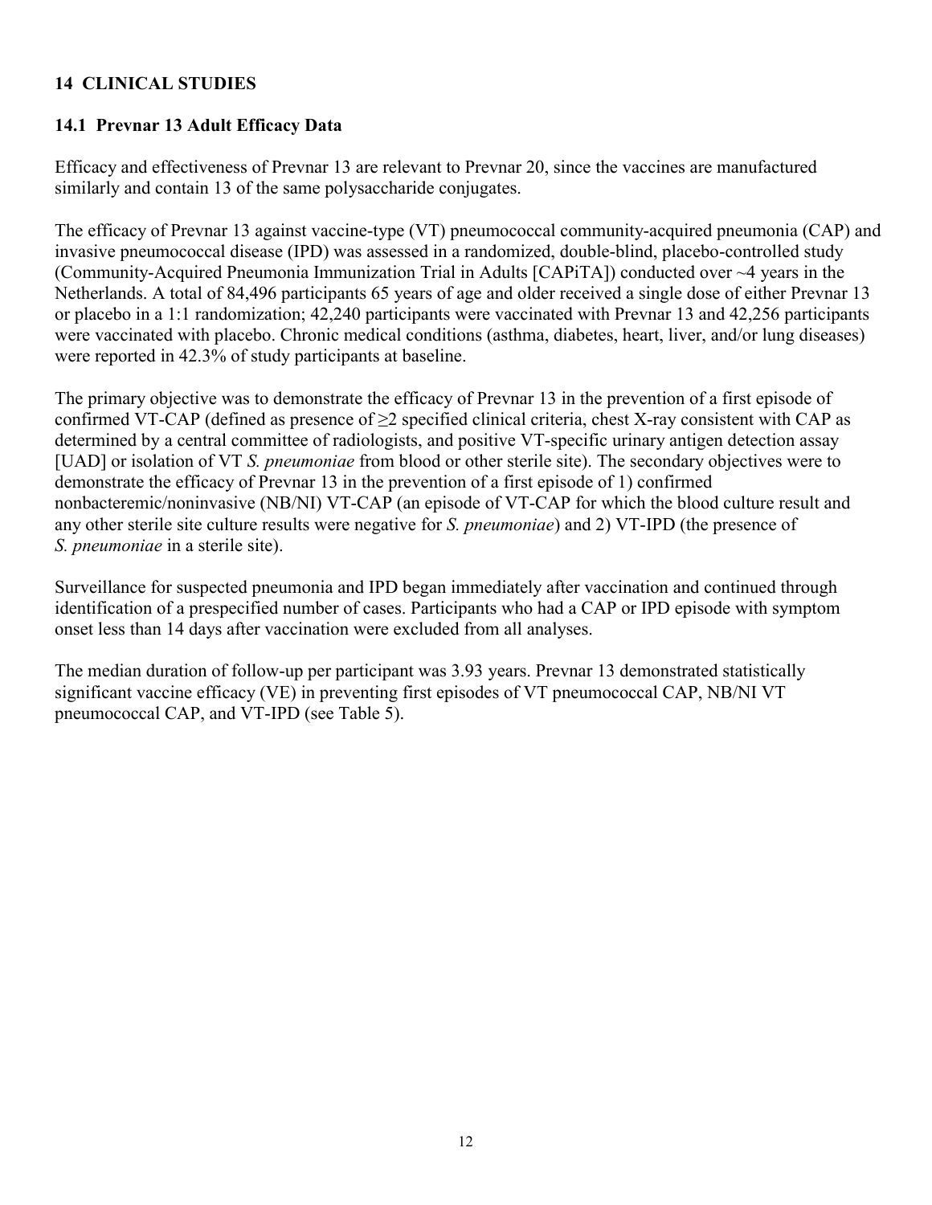### **14 CLINICAL STUDIES**

### **14.1 Prevnar 13 Adult Efficacy Data**

Efficacy and effectiveness of Prevnar 13 are relevant to Prevnar 20, since the vaccines are manufactured similarly and contain 13 of the same polysaccharide conjugates.

The efficacy of Prevnar 13 against vaccine-type (VT) pneumococcal community-acquired pneumonia (CAP) and invasive pneumococcal disease (IPD) was assessed in a randomized, double-blind, placebo-controlled study (Community-Acquired Pneumonia Immunization Trial in Adults [CAPiTA]) conducted over ~4 years in the Netherlands. A total of 84,496 participants 65 years of age and older received a single dose of either Prevnar 13 or placebo in a 1:1 randomization; 42,240 participants were vaccinated with Prevnar 13 and 42,256 participants were vaccinated with placebo. Chronic medical conditions (asthma, diabetes, heart, liver, and/or lung diseases) were reported in 42.3% of study participants at baseline.

The primary objective was to demonstrate the efficacy of Prevnar 13 in the prevention of a first episode of confirmed VT-CAP (defined as presence of  $\geq$ 2 specified clinical criteria, chest X-ray consistent with CAP as determined by a central committee of radiologists, and positive VT-specific urinary antigen detection assay [UAD] or isolation of VT *S. pneumoniae* from blood or other sterile site). The secondary objectives were to demonstrate the efficacy of Prevnar 13 in the prevention of a first episode of 1) confirmed nonbacteremic/noninvasive (NB/NI) VT-CAP (an episode of VT-CAP for which the blood culture result and any other sterile site culture results were negative for *S. pneumoniae*) and 2) VT-IPD (the presence of *S. pneumoniae* in a sterile site).

Surveillance for suspected pneumonia and IPD began immediately after vaccination and continued through identification of a prespecified number of cases. Participants who had a CAP or IPD episode with symptom onset less than 14 days after vaccination were excluded from all analyses.

The median duration of follow-up per participant was 3.93 years. Prevnar 13 demonstrated statistically significant vaccine efficacy (VE) in preventing first episodes of VT pneumococcal CAP, NB/NI VT pneumococcal CAP, and VT-IPD (see Table 5).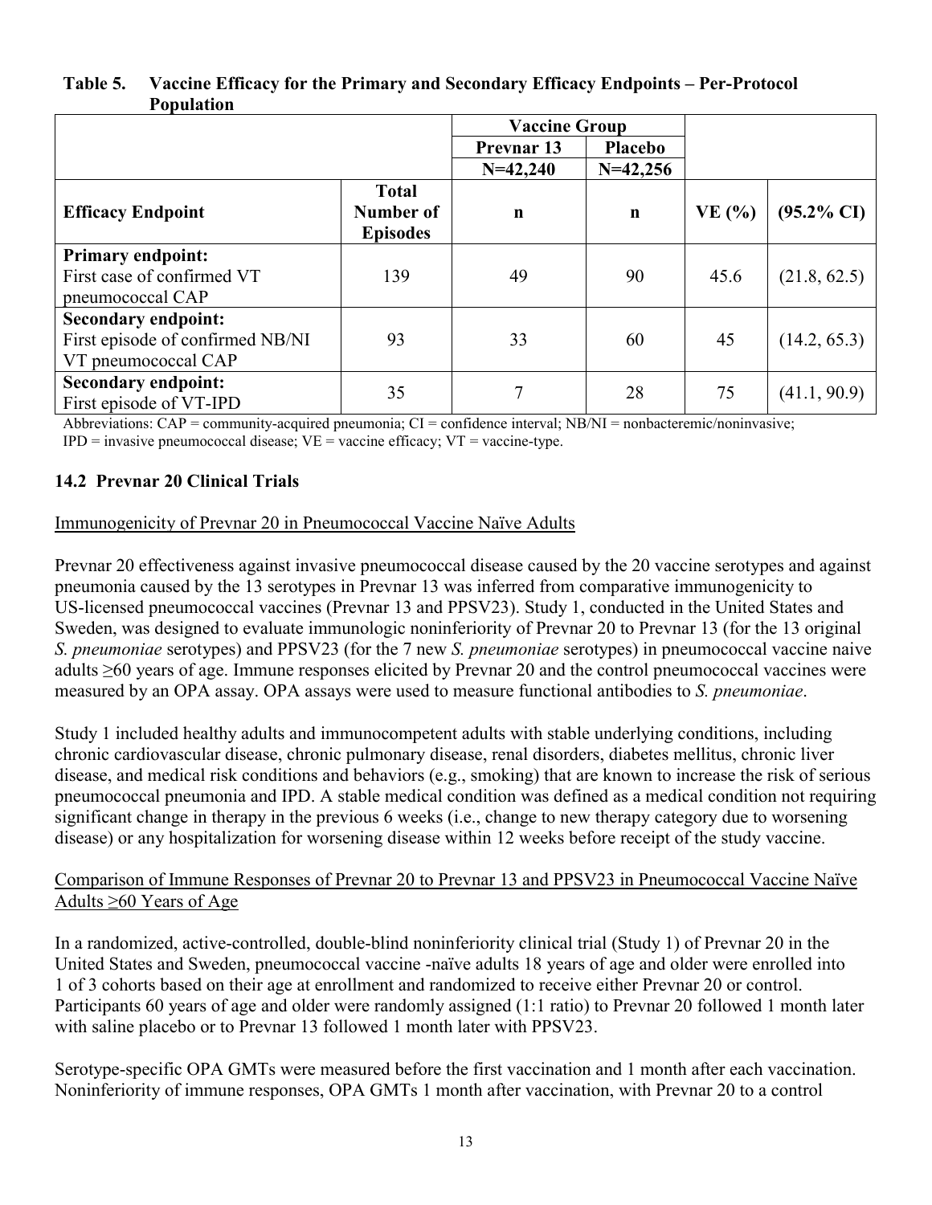### **Table 5. Vaccine Efficacy for the Primary and Secondary Efficacy Endpoints – Per-Protocol Population**

|                                                                                       |                                              | <b>Vaccine Group</b> |             |       |                       |
|---------------------------------------------------------------------------------------|----------------------------------------------|----------------------|-------------|-------|-----------------------|
|                                                                                       |                                              | <b>Prevnar 13</b>    | Placebo     |       |                       |
|                                                                                       |                                              | $N=42,240$           | $N=42,256$  |       |                       |
| <b>Efficacy Endpoint</b>                                                              | <b>Total</b><br>Number of<br><b>Episodes</b> | $\mathbf n$          | $\mathbf n$ | VE(%) | $(95.2\% \text{ CI})$ |
| <b>Primary endpoint:</b><br>First case of confirmed VT<br>pneumococcal CAP            | 139                                          | 49                   | 90          | 45.6  | (21.8, 62.5)          |
| <b>Secondary endpoint:</b><br>First episode of confirmed NB/NI<br>VT pneumococcal CAP | 93                                           | 33                   | 60          | 45    | (14.2, 65.3)          |
| <b>Secondary endpoint:</b><br>First episode of VT-IPD                                 | 35                                           | 7                    | 28          | 75    | (41.1, 90.9)          |

Abbreviations: CAP = community-acquired pneumonia; CI = confidence interval; NB/NI = nonbacteremic/noninvasive;

 $IPD =$  invasive pneumococcal disease;  $VE =$  vaccine efficacy;  $VT =$  vaccine-type.

## **14.2 Prevnar 20 Clinical Trials**

### Immunogenicity of Prevnar 20 in Pneumococcal Vaccine Naïve Adults

Prevnar 20 effectiveness against invasive pneumococcal disease caused by the 20 vaccine serotypes and against pneumonia caused by the 13 serotypes in Prevnar 13 was inferred from comparative immunogenicity to US-licensed pneumococcal vaccines (Prevnar 13 and PPSV23). Study 1, conducted in the United States and Sweden, was designed to evaluate immunologic noninferiority of Prevnar 20 to Prevnar 13 (for the 13 original *S. pneumoniae* serotypes) and PPSV23 (for the 7 new *S. pneumoniae* serotypes) in pneumococcal vaccine naive adults ≥60 years of age. Immune responses elicited by Prevnar 20 and the control pneumococcal vaccines were measured by an OPA assay. OPA assays were used to measure functional antibodies to *S. pneumoniae*.

Study 1 included healthy adults and immunocompetent adults with stable underlying conditions, including chronic cardiovascular disease, chronic pulmonary disease, renal disorders, diabetes mellitus, chronic liver disease, and medical risk conditions and behaviors (e.g., smoking) that are known to increase the risk of serious pneumococcal pneumonia and IPD. A stable medical condition was defined as a medical condition not requiring significant change in therapy in the previous 6 weeks (i.e., change to new therapy category due to worsening disease) or any hospitalization for worsening disease within 12 weeks before receipt of the study vaccine.

### Comparison of Immune Responses of Prevnar 20 to Prevnar 13 and PPSV23 in Pneumococcal Vaccine Naïve Adults ≥60 Years of Age

In a randomized, active-controlled, double-blind noninferiority clinical trial (Study 1) of Prevnar 20 in the United States and Sweden, pneumococcal vaccine -naïve adults 18 years of age and older were enrolled into 1 of 3 cohorts based on their age at enrollment and randomized to receive either Prevnar 20 or control. Participants 60 years of age and older were randomly assigned (1:1 ratio) to Prevnar 20 followed 1 month later with saline placebo or to Prevnar 13 followed 1 month later with PPSV23.

Serotype-specific OPA GMTs were measured before the first vaccination and 1 month after each vaccination. Noninferiority of immune responses, OPA GMTs 1 month after vaccination, with Prevnar 20 to a control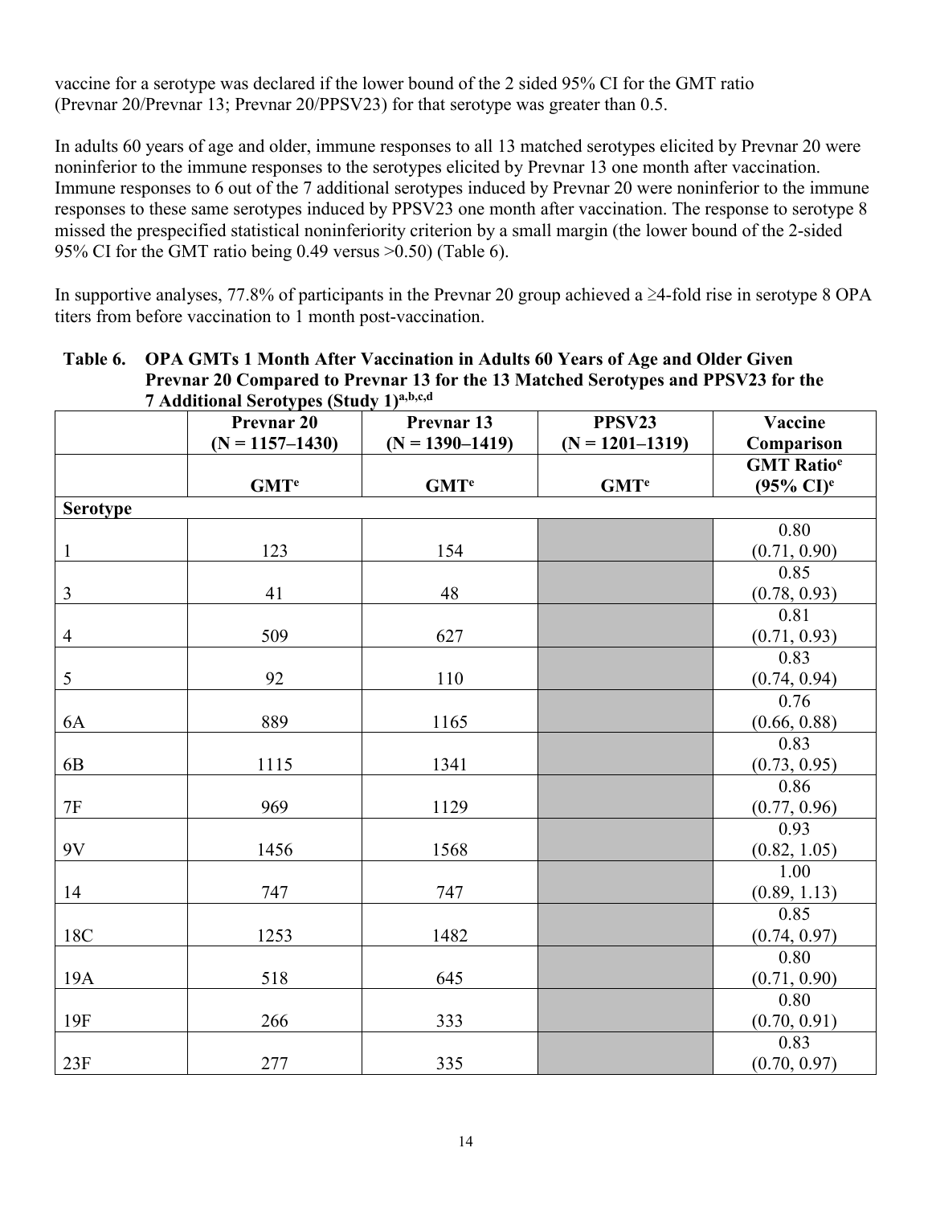vaccine for a serotype was declared if the lower bound of the 2 sided 95% CI for the GMT ratio (Prevnar 20/Prevnar 13; Prevnar 20/PPSV23) for that serotype was greater than 0.5.

In adults 60 years of age and older, immune responses to all 13 matched serotypes elicited by Prevnar 20 were noninferior to the immune responses to the serotypes elicited by Prevnar 13 one month after vaccination. Immune responses to 6 out of the 7 additional serotypes induced by Prevnar 20 were noninferior to the immune responses to these same serotypes induced by PPSV23 one month after vaccination. The response to serotype 8 missed the prespecified statistical noninferiority criterion by a small margin (the lower bound of the 2-sided 95% CI for the GMT ratio being 0.49 versus >0.50) (Table 6).

In supportive analyses, 77.8% of participants in the Prevnar 20 group achieved a ≥4-fold rise in serotype 8 OPA titers from before vaccination to 1 month post-vaccination.

|                 | 7 Additional Serotypes (Study 1)a,b,c,d      |                                   |                               |                                                       |  |  |  |  |  |
|-----------------|----------------------------------------------|-----------------------------------|-------------------------------|-------------------------------------------------------|--|--|--|--|--|
|                 | Prevnar <sub>20</sub><br>$(N = 1157 - 1430)$ | Prevnar 13<br>$(N = 1390 - 1419)$ | PPSV23<br>$(N = 1201 - 1319)$ | Vaccine<br>Comparison                                 |  |  |  |  |  |
|                 | GMT <sup>e</sup>                             | GMT <sup>e</sup>                  | GMT <sup>e</sup>              | <b>GMT Ratio<sup>e</sup></b><br>$(95\% \text{ CI})^e$ |  |  |  |  |  |
| <b>Serotype</b> |                                              |                                   |                               |                                                       |  |  |  |  |  |
| $\mathbf{1}$    | 123                                          | 154                               |                               | 0.80<br>(0.71, 0.90)                                  |  |  |  |  |  |
| $\mathfrak{Z}$  | 41                                           | 48                                |                               | 0.85<br>(0.78, 0.93)                                  |  |  |  |  |  |
| $\overline{4}$  | 509                                          | 627                               |                               | 0.81<br>(0.71, 0.93)                                  |  |  |  |  |  |
| $\mathfrak s$   | 92                                           | 110                               |                               | 0.83<br>(0.74, 0.94)                                  |  |  |  |  |  |
| 6A              | 889                                          | 1165                              |                               | 0.76<br>(0.66, 0.88)                                  |  |  |  |  |  |
| 6 <sub>B</sub>  | 1115                                         | 1341                              |                               | 0.83<br>(0.73, 0.95)                                  |  |  |  |  |  |
| $7\mathrm{F}$   | 969                                          | 1129                              |                               | 0.86<br>(0.77, 0.96)                                  |  |  |  |  |  |
| 9V              | 1456                                         | 1568                              |                               | 0.93<br>(0.82, 1.05)                                  |  |  |  |  |  |
| 14              | 747                                          | 747                               |                               | 1.00<br>(0.89, 1.13)                                  |  |  |  |  |  |
| 18C             | 1253                                         | 1482                              |                               | 0.85<br>(0.74, 0.97)                                  |  |  |  |  |  |
| 19A             | 518                                          | 645                               |                               | 0.80<br>(0.71, 0.90)                                  |  |  |  |  |  |
| 19F             | 266                                          | 333                               |                               | 0.80<br>(0.70, 0.91)                                  |  |  |  |  |  |
| 23F             | 277                                          | 335                               |                               | 0.83<br>(0.70, 0.97)                                  |  |  |  |  |  |

# **Table 6. OPA GMTs 1 Month After Vaccination in Adults 60 Years of Age and Older Given Prevnar 20 Compared to Prevnar 13 for the 13 Matched Serotypes and PPSV23 for the**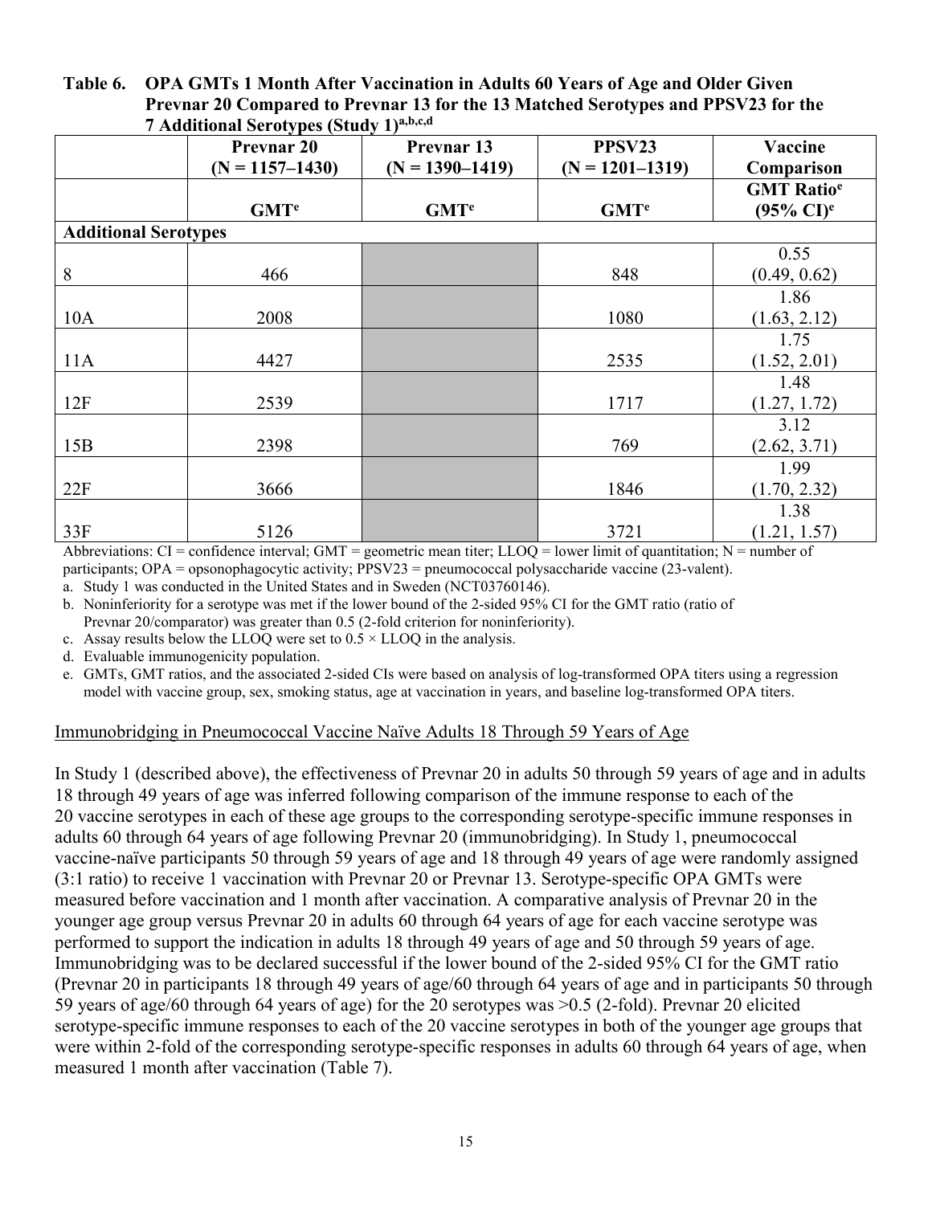#### **Table 6. OPA GMTs 1 Month After Vaccination in Adults 60 Years of Age and Older Given Prevnar 20 Compared to Prevnar 13 for the 13 Matched Serotypes and PPSV23 for the 7 Additional Serotypes (Study 1)a,b,c,d**

|                             | $\frac{1}{2}$ requirement survey pus (state) 1)<br><b>Prevnar 20</b> | Prevnar 13          | PPSV23                 | Vaccine                      |
|-----------------------------|----------------------------------------------------------------------|---------------------|------------------------|------------------------------|
|                             | $(N = 1157 - 1430)$                                                  | $(N = 1390 - 1419)$ | $(N = 1201 - 1319)$    | Comparison                   |
|                             |                                                                      |                     |                        | <b>GMT Ratio<sup>e</sup></b> |
|                             | <b>GMT<sup>e</sup></b>                                               | GMT <sup>e</sup>    | <b>GMT<sup>e</sup></b> | $(95\% \text{ CI})^e$        |
| <b>Additional Serotypes</b> |                                                                      |                     |                        |                              |
|                             |                                                                      |                     |                        | 0.55                         |
| 8                           | 466                                                                  |                     | 848                    | (0.49, 0.62)                 |
|                             |                                                                      |                     |                        | 1.86                         |
| 10A                         | 2008                                                                 |                     | 1080                   | (1.63, 2.12)                 |
|                             |                                                                      |                     |                        | 1.75                         |
| 11A                         | 4427                                                                 |                     | 2535                   | (1.52, 2.01)                 |
|                             |                                                                      |                     |                        | 1.48                         |
| 12F                         | 2539                                                                 |                     | 1717                   | (1.27, 1.72)                 |
|                             |                                                                      |                     |                        | 3.12                         |
| 15B                         | 2398                                                                 |                     | 769                    | (2.62, 3.71)                 |
|                             |                                                                      |                     |                        | 1.99                         |
| 22F                         | 3666                                                                 |                     | 1846                   | (1.70, 2.32)                 |
|                             |                                                                      |                     |                        | 1.38                         |
| 33F                         | 5126                                                                 |                     | 3721                   | (1.21, 1.57)                 |

Abbreviations:  $CI =$  confidence interval; GMT = geometric mean titer; LLOQ = lower limit of quantitation; N = number of participants; OPA = opsonophagocytic activity; PPSV23 = pneumococcal polysaccharide vaccine (23-valent).

a. Study 1 was conducted in the United States and in Sweden (NCT03760146).

b. Noninferiority for a serotype was met if the lower bound of the 2-sided 95% CI for the GMT ratio (ratio of Prevnar 20/comparator) was greater than 0.5 (2-fold criterion for noninferiority).

c. Assay results below the LLOQ were set to  $0.5 \times$  LLOQ in the analysis.

d. Evaluable immunogenicity population.

e. GMTs, GMT ratios, and the associated 2-sided CIs were based on analysis of log-transformed OPA titers using a regression model with vaccine group, sex, smoking status, age at vaccination in years, and baseline log-transformed OPA titers.

#### Immunobridging in Pneumococcal Vaccine Naïve Adults 18 Through 59 Years of Age

In Study 1 (described above), the effectiveness of Prevnar 20 in adults 50 through 59 years of age and in adults 18 through 49 years of age was inferred following comparison of the immune response to each of the 20 vaccine serotypes in each of these age groups to the corresponding serotype-specific immune responses in adults 60 through 64 years of age following Prevnar 20 (immunobridging). In Study 1, pneumococcal vaccine-naïve participants 50 through 59 years of age and 18 through 49 years of age were randomly assigned (3:1 ratio) to receive 1 vaccination with Prevnar 20 or Prevnar 13. Serotype-specific OPA GMTs were measured before vaccination and 1 month after vaccination. A comparative analysis of Prevnar 20 in the younger age group versus Prevnar 20 in adults 60 through 64 years of age for each vaccine serotype was performed to support the indication in adults 18 through 49 years of age and 50 through 59 years of age. Immunobridging was to be declared successful if the lower bound of the 2-sided 95% CI for the GMT ratio (Prevnar 20 in participants 18 through 49 years of age/60 through 64 years of age and in participants 50 through 59 years of age/60 through 64 years of age) for the 20 serotypes was >0.5 (2-fold). Prevnar 20 elicited serotype-specific immune responses to each of the 20 vaccine serotypes in both of the younger age groups that were within 2-fold of the corresponding serotype-specific responses in adults 60 through 64 years of age, when measured 1 month after vaccination (Table 7).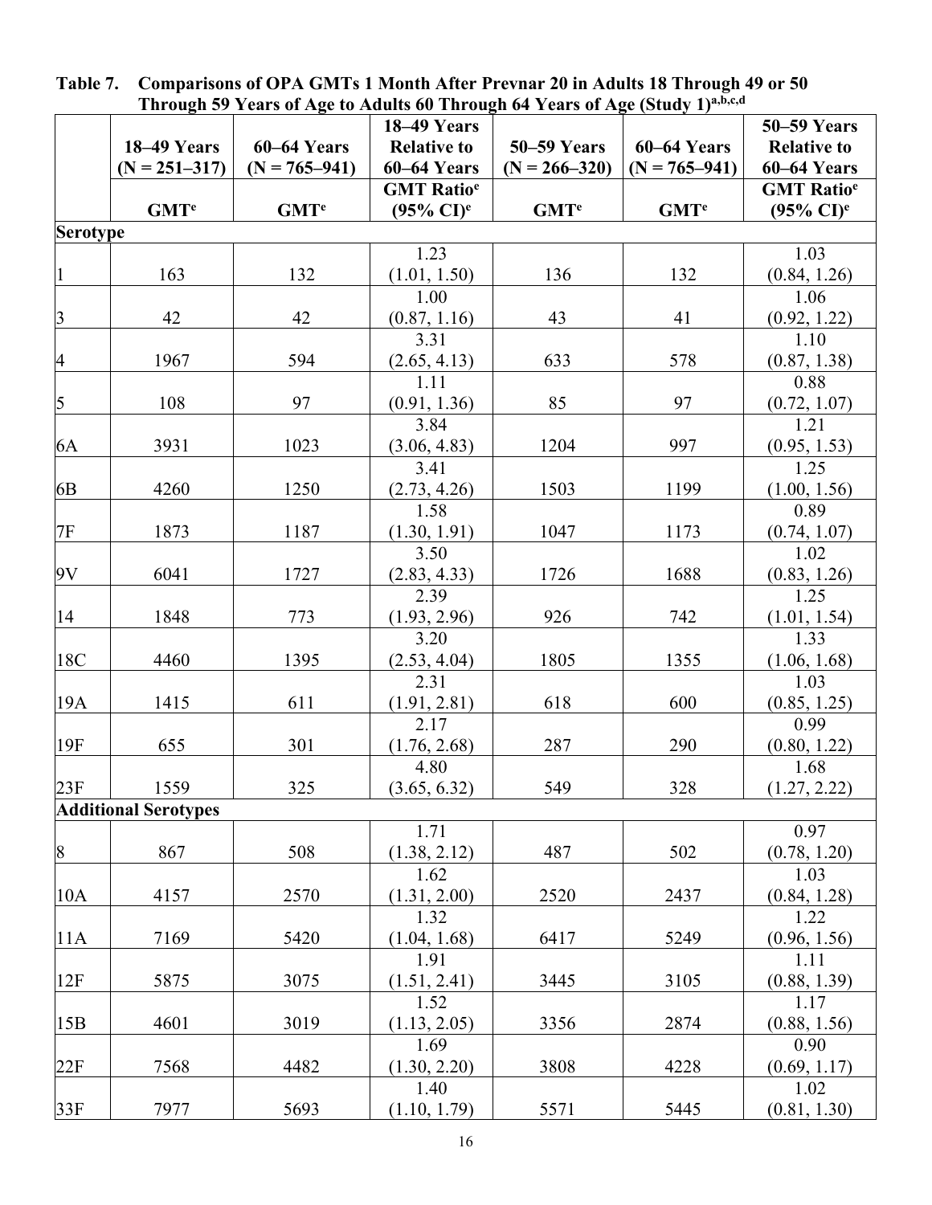|                         | THrough 37 Tears of Age to Adults by Through 64 Tears of Age (Study T)<br>18–49 Years |                         |                               |                         |                   | <b>50–59 Years</b>           |
|-------------------------|---------------------------------------------------------------------------------------|-------------------------|-------------------------------|-------------------------|-------------------|------------------------------|
|                         | 18-49 Years                                                                           | 60-64 Years             | <b>Relative to</b>            | <b>50–59 Years</b>      | 60–64 Years       | <b>Relative to</b>           |
|                         | $(N = 251 - 317)$                                                                     | $(N = 765 - 941)$       | 60–64 Years                   | $(N = 266 - 320)$       | $(N = 765 - 941)$ | 60–64 Years                  |
|                         |                                                                                       |                         | <b>GMT</b> Ratio <sup>e</sup> |                         |                   | <b>GMT Ratio<sup>e</sup></b> |
|                         | GMT <sup>e</sup>                                                                      | <b>GMT</b> <sup>e</sup> | $(95\% \text{ CI})^e$         | <b>GMT</b> <sup>e</sup> | GMT <sup>e</sup>  | $(95\% \text{ CI})^e$        |
| <b>Serotype</b>         |                                                                                       |                         |                               |                         |                   |                              |
|                         |                                                                                       |                         | 1.23                          |                         |                   | 1.03                         |
|                         | 163                                                                                   | 132                     | (1.01, 1.50)                  | 136                     | 132               | (0.84, 1.26)                 |
|                         |                                                                                       |                         | 1.00                          |                         |                   | 1.06                         |
| $\overline{\mathbf{3}}$ | 42                                                                                    | 42                      | (0.87, 1.16)                  | 43                      | 41                | (0.92, 1.22)                 |
|                         |                                                                                       |                         | 3.31                          |                         |                   | 1.10                         |
| $\overline{4}$          | 1967                                                                                  | 594                     | $\frac{(2.65, 4.13)}{1.11}$   | 633                     | 578               | (0.87, 1.38)                 |
|                         |                                                                                       |                         |                               |                         |                   | 0.88                         |
| 5                       | 108                                                                                   | 97                      | (0.91, 1.36)                  | 85                      | 97                | (0.72, 1.07)                 |
|                         |                                                                                       |                         | 3.84                          |                         |                   | 1.21                         |
| 6A                      | 3931                                                                                  | 1023                    | (3.06, 4.83)                  | 1204                    | 997               | (0.95, 1.53)                 |
|                         |                                                                                       |                         | 3.41                          |                         |                   | 1.25                         |
| 6 <sub>B</sub>          | 4260                                                                                  | 1250                    | (2.73, 4.26)                  | 1503                    | 1199              | (1.00, 1.56)                 |
| <b>7F</b>               | 1873                                                                                  | 1187                    | 1.58                          | 1047                    |                   | 0.89                         |
|                         |                                                                                       |                         | (1.30, 1.91)<br>3.50          |                         | 1173              | (0.74, 1.07)<br>1.02         |
| 9V                      | 6041                                                                                  | 1727                    | (2.83, 4.33)                  | 1726                    | 1688              | (0.83, 1.26)                 |
|                         |                                                                                       |                         | 2.39                          |                         |                   | 1.25                         |
| 14                      | 1848                                                                                  | 773                     | (1.93, 2.96)                  | 926                     | 742               | (1.01, 1.54)                 |
|                         |                                                                                       |                         | 3.20                          |                         |                   | 1.33                         |
| 18C                     | 4460                                                                                  | 1395                    | (2.53, 4.04)                  | 1805                    | 1355              | (1.06, 1.68)                 |
|                         |                                                                                       |                         | 2.31                          |                         |                   | 1.03                         |
| 19A                     | 1415                                                                                  | 611                     | (1.91, 2.81)                  | 618                     | 600               | (0.85, 1.25)                 |
|                         |                                                                                       |                         | 2.17                          |                         |                   | 0.99                         |
| 19F                     | 655                                                                                   | 301                     | (1.76, 2.68)                  | 287                     | 290               | (0.80, 1.22)                 |
|                         |                                                                                       |                         | 4.80                          |                         |                   | 1.68                         |
| 23F                     | 1559                                                                                  | 325                     | (3.65, 6.32)                  | 549                     | 328               | (1.27, 2.22)                 |
|                         | <b>Additional Serotypes</b>                                                           |                         |                               |                         |                   |                              |
|                         |                                                                                       |                         | 1.71                          |                         |                   | 0.97                         |
| $\boldsymbol{8}$        | 867                                                                                   | 508                     | (1.38, 2.12)                  | 487                     | 502               | (0.78, 1.20)                 |
|                         |                                                                                       |                         | 1.62                          |                         |                   | 1.03                         |
| 10A                     | 4157                                                                                  | 2570                    | (1.31, 2.00)<br>1.32          | 2520                    | 2437              | (0.84, 1.28)<br>1.22         |
| 11A                     | 7169                                                                                  | 5420                    | (1.04, 1.68)                  | 6417                    | 5249              | (0.96, 1.56)                 |
|                         |                                                                                       |                         | 1.91                          |                         |                   | 1.11                         |
| 12F                     | 5875                                                                                  | 3075                    | (1.51, 2.41)                  | 3445                    | 3105              | (0.88, 1.39)                 |
|                         |                                                                                       |                         | 1.52                          |                         |                   | 1.17                         |
| 15B                     | 4601                                                                                  | 3019                    | (1.13, 2.05)                  | 3356                    | 2874              | (0.88, 1.56)                 |
|                         |                                                                                       |                         | 1.69                          |                         |                   | 0.90                         |
| 22F                     | 7568                                                                                  | 4482                    | (1.30, 2.20)                  | 3808                    | 4228              | (0.69, 1.17)                 |
|                         |                                                                                       |                         | 1.40                          |                         |                   | 1.02                         |
| 33F                     | 7977                                                                                  | 5693                    | (1.10, 1.79)                  | 5571                    | 5445              | (0.81, 1.30)                 |

**Table 7. Comparisons of OPA GMTs 1 Month After Prevnar 20 in Adults 18 Through 49 or 50 Through 59 Years of Age to Adults 60 Through 64 Years of Age (Study 1)a,b,c,d**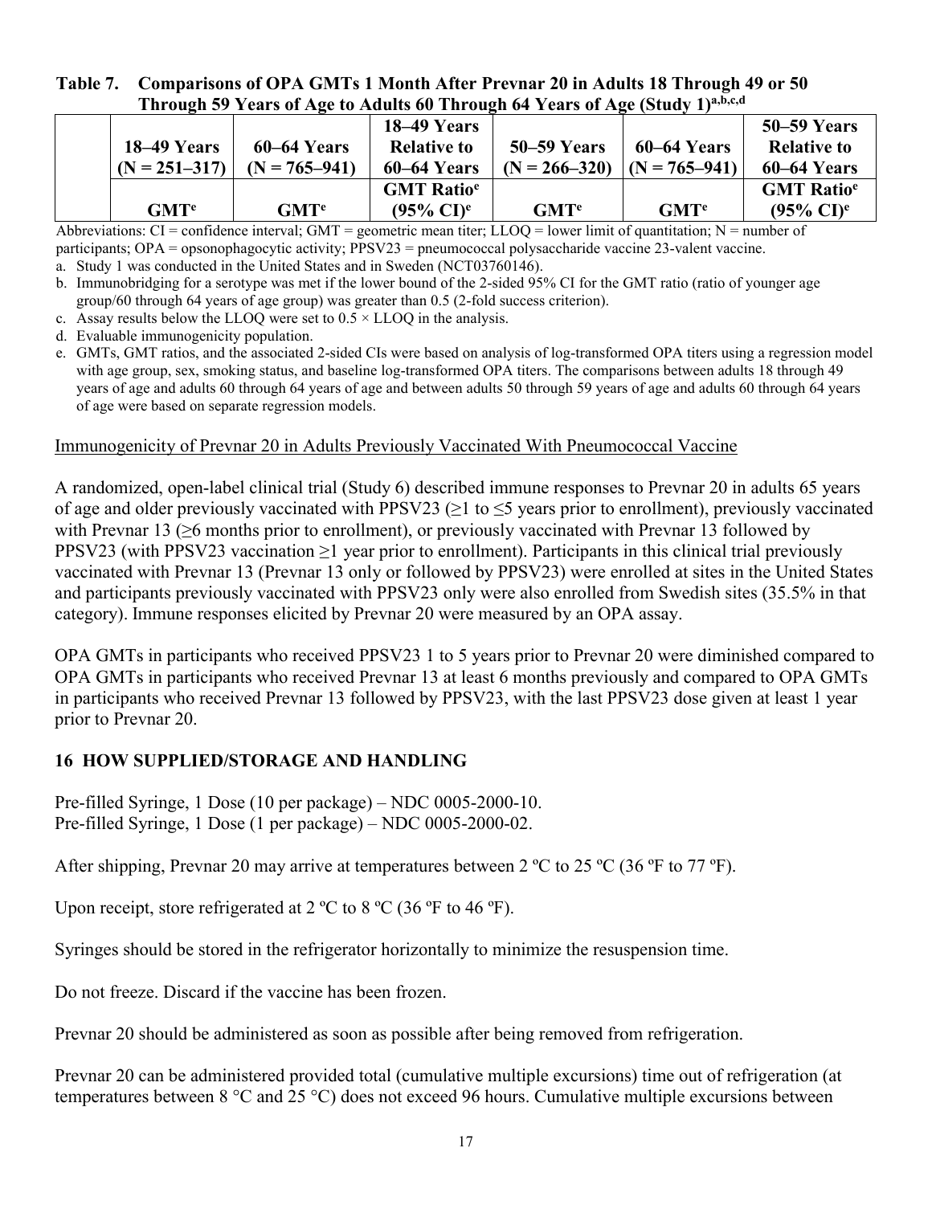### **Table 7. Comparisons of OPA GMTs 1 Month After Prevnar 20 in Adults 18 Through 49 or 50 Through 59 Years of Age to Adults 60 Through 64 Years of Age (Study 1)a,b,c,d**

|  |                   |                   | 18–49 Years                   |                   |                   | <b>50–59 Years</b>           |
|--|-------------------|-------------------|-------------------------------|-------------------|-------------------|------------------------------|
|  | 18–49 Years       | $60-64$ Years     | <b>Relative to</b>            | 50–59 Years       | 60–64 Years       | <b>Relative to</b>           |
|  | $(N = 251 - 317)$ | $(N = 765 - 941)$ | 60–64 Years                   | $(N = 266 - 320)$ | $(N = 765 - 941)$ | 60–64 Years                  |
|  |                   |                   | <b>GMT</b> Ratio <sup>e</sup> |                   |                   | <b>GMT Ratio<sup>e</sup></b> |
|  | GMT <sup>e</sup>  | GMT <sup>e</sup>  | $(95\% \text{ CI})^e$         | GMT <sup>e</sup>  | GMT <sup>e</sup>  | $(95\% \text{ CI})^e$        |

Abbreviations:  $CI =$  confidence interval; GMT = geometric mean titer; LLOQ = lower limit of quantitation;  $N =$  number of participants; OPA = opsonophagocytic activity; PPSV23 = pneumococcal polysaccharide vaccine 23-valent vaccine.

a. Study 1 was conducted in the United States and in Sweden (NCT03760146).

- b. Immunobridging for a serotype was met if the lower bound of the 2-sided 95% CI for the GMT ratio (ratio of younger age group/60 through 64 years of age group) was greater than 0.5 (2-fold success criterion).
- c. Assay results below the LLOQ were set to  $0.5 \times LLOQ$  in the analysis.
- d. Evaluable immunogenicity population.
- e. GMTs, GMT ratios, and the associated 2-sided CIs were based on analysis of log-transformed OPA titers using a regression model with age group, sex, smoking status, and baseline log-transformed OPA titers. The comparisons between adults 18 through 49 years of age and adults 60 through 64 years of age and between adults 50 through 59 years of age and adults 60 through 64 years of age were based on separate regression models.

### Immunogenicity of Prevnar 20 in Adults Previously Vaccinated With Pneumococcal Vaccine

A randomized, open-label clinical trial (Study 6) described immune responses to Prevnar 20 in adults 65 years of age and older previously vaccinated with PPSV23 ( $\geq$ 1 to  $\leq$ 5 years prior to enrollment), previously vaccinated with Prevnar 13 (≥6 months prior to enrollment), or previously vaccinated with Prevnar 13 followed by PPSV23 (with PPSV23 vaccination ≥1 year prior to enrollment). Participants in this clinical trial previously vaccinated with Prevnar 13 (Prevnar 13 only or followed by PPSV23) were enrolled at sites in the United States and participants previously vaccinated with PPSV23 only were also enrolled from Swedish sites (35.5% in that category). Immune responses elicited by Prevnar 20 were measured by an OPA assay.

OPA GMTs in participants who received PPSV23 1 to 5 years prior to Prevnar 20 were diminished compared to OPA GMTs in participants who received Prevnar 13 at least 6 months previously and compared to OPA GMTs in participants who received Prevnar 13 followed by PPSV23, with the last PPSV23 dose given at least 1 year prior to Prevnar 20.

### **16 HOW SUPPLIED/STORAGE AND HANDLING**

Pre-filled Syringe, 1 Dose (10 per package) – NDC 0005-2000-10. Pre-filled Syringe, 1 Dose (1 per package) – NDC 0005-2000-02.

After shipping, Prevnar 20 may arrive at temperatures between 2  $^{\circ}$ C to 25  $^{\circ}$ C (36  $^{\circ}$ F to 77  $^{\circ}$ F).

Upon receipt, store refrigerated at  $2 \text{ °C}$  to  $8 \text{ °C}$  (36  $\text{ °F}$  to 46  $\text{ °F}$ ).

Syringes should be stored in the refrigerator horizontally to minimize the resuspension time.

Do not freeze. Discard if the vaccine has been frozen.

Prevnar 20 should be administered as soon as possible after being removed from refrigeration.

Prevnar 20 can be administered provided total (cumulative multiple excursions) time out of refrigeration (at temperatures between 8 °C and 25 °C) does not exceed 96 hours. Cumulative multiple excursions between